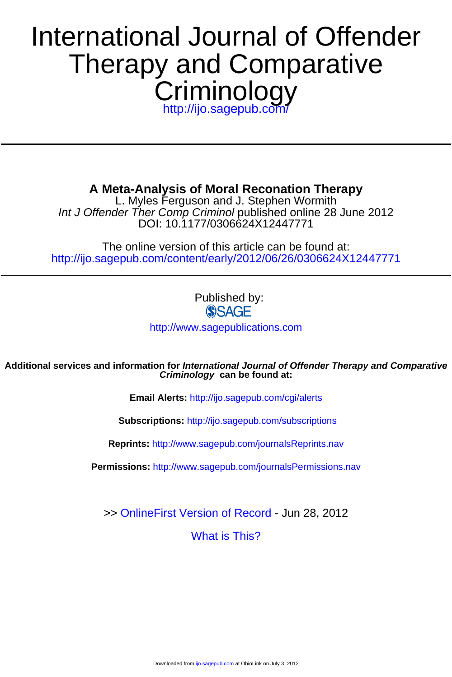# **Criminology** Therapy and Comparative International Journal of Offender

<http://ijo.sagepub.com/>

**A Meta-Analysis of Moral Reconation Therapy**

DOI: 10.1177/0306624X12447771 Int J Offender Ther Comp Criminol published online 28 June 2012 L. Myles Ferguson and J. Stephen Wormith

<http://ijo.sagepub.com/content/early/2012/06/26/0306624X12447771> The online version of this article can be found at:

Published by:<br>
SAGE

<http://www.sagepublications.com>

**Criminology can be found at: Additional services and information for International Journal of Offender Therapy and Comparative**

**Email Alerts:** <http://ijo.sagepub.com/cgi/alerts>

**Subscriptions:** <http://ijo.sagepub.com/subscriptions>

**Reprints:** <http://www.sagepub.com/journalsReprints.nav>

**Permissions:** <http://www.sagepub.com/journalsPermissions.nav>

>> [OnlineFirst Version of Record -](http://ijo.sagepub.com/content/early/2012/06/26/0306624X12447771.full.pdf) Jun 28, 2012

[What is This?](http://online.sagepub.com/site/sphelp/vorhelp.xhtml)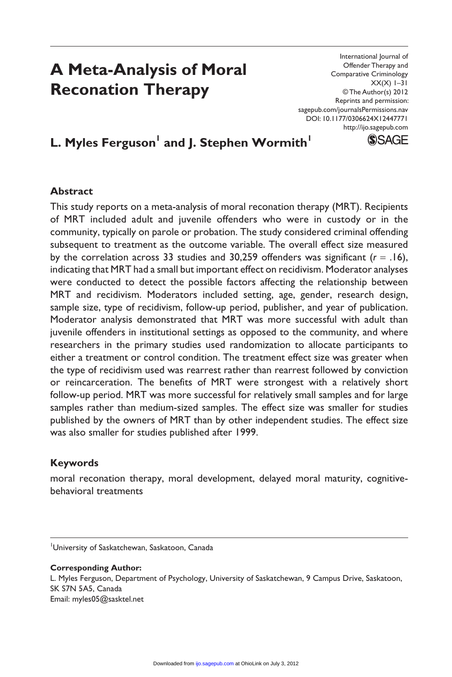# **A Meta-Analysis of Moral Reconation Therapy**

International Journal of Offender Therapy and Comparative Criminology  $XX(X)$  1–31 © The Author(s) 2012 Reprints and permission: sagepub.com/journalsPermissions.nav DOI: 10.1177/0306624X12447771 http://ijo.sagepub.com



# L. Myles Ferguson<sup>I</sup> and J. Stephen Wormith<sup>I</sup>

#### **Abstract**

This study reports on a meta-analysis of moral reconation therapy (MRT). Recipients of MRT included adult and juvenile offenders who were in custody or in the community, typically on parole or probation. The study considered criminal offending subsequent to treatment as the outcome variable. The overall effect size measured by the correlation across 33 studies and 30,259 offenders was significant  $(r = .16)$ , indicating that MRT had a small but important effect on recidivism. Moderator analyses were conducted to detect the possible factors affecting the relationship between MRT and recidivism. Moderators included setting, age, gender, research design, sample size, type of recidivism, follow-up period, publisher, and year of publication. Moderator analysis demonstrated that MRT was more successful with adult than juvenile offenders in institutional settings as opposed to the community, and where researchers in the primary studies used randomization to allocate participants to either a treatment or control condition. The treatment effect size was greater when the type of recidivism used was rearrest rather than rearrest followed by conviction or reincarceration. The benefits of MRT were strongest with a relatively short follow-up period. MRT was more successful for relatively small samples and for large samples rather than medium-sized samples. The effect size was smaller for studies published by the owners of MRT than by other independent studies. The effect size was also smaller for studies published after 1999.

# **Keywords**

moral reconation therapy, moral development, delayed moral maturity, cognitivebehavioral treatments

#### **Corresponding Author:**

L. Myles Ferguson, Department of Psychology, University of Saskatchewan, 9 Campus Drive, Saskatoon, SK S7N 5A5, Canada Email: myles05@sasktel.net

<sup>1</sup> University of Saskatchewan, Saskatoon, Canada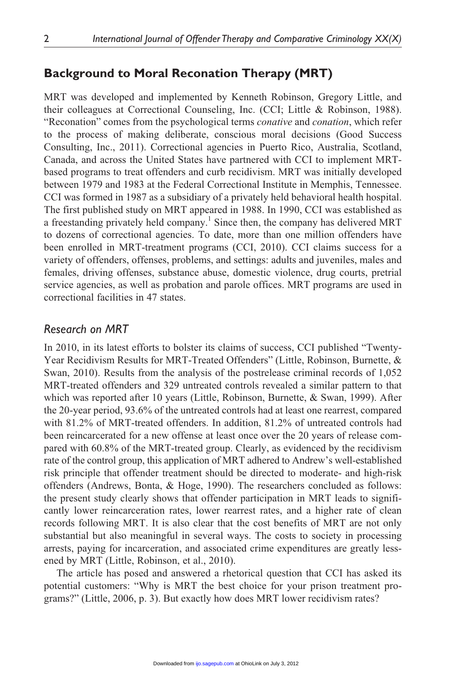# **Background to Moral Reconation Therapy (MRT)**

MRT was developed and implemented by Kenneth Robinson, Gregory Little, and their colleagues at Correctional Counseling, Inc. (CCI; Little & Robinson, 1988). "Reconation" comes from the psychological terms *conative* and *conation*, which refer to the process of making deliberate, conscious moral decisions (Good Success Consulting, Inc., 2011). Correctional agencies in Puerto Rico, Australia, Scotland, Canada, and across the United States have partnered with CCI to implement MRTbased programs to treat offenders and curb recidivism. MRT was initially developed between 1979 and 1983 at the Federal Correctional Institute in Memphis, Tennessee. CCI was formed in 1987 as a subsidiary of a privately held behavioral health hospital. The first published study on MRT appeared in 1988. In 1990, CCI was established as a freestanding privately held company.<sup>1</sup> Since then, the company has delivered MRT to dozens of correctional agencies. To date, more than one million offenders have been enrolled in MRT-treatment programs (CCI, 2010). CCI claims success for a variety of offenders, offenses, problems, and settings: adults and juveniles, males and females, driving offenses, substance abuse, domestic violence, drug courts, pretrial service agencies, as well as probation and parole offices. MRT programs are used in correctional facilities in 47 states.

# *Research on MRT*

In 2010, in its latest efforts to bolster its claims of success, CCI published "Twenty-Year Recidivism Results for MRT-Treated Offenders" (Little, Robinson, Burnette, & Swan, 2010). Results from the analysis of the postrelease criminal records of 1,052 MRT-treated offenders and 329 untreated controls revealed a similar pattern to that which was reported after 10 years (Little, Robinson, Burnette, & Swan, 1999). After the 20-year period, 93.6% of the untreated controls had at least one rearrest, compared with 81.2% of MRT-treated offenders. In addition, 81.2% of untreated controls had been reincarcerated for a new offense at least once over the 20 years of release compared with 60.8% of the MRT-treated group. Clearly, as evidenced by the recidivism rate of the control group, this application of MRT adhered to Andrew's well-established risk principle that offender treatment should be directed to moderate- and high-risk offenders (Andrews, Bonta, & Hoge, 1990). The researchers concluded as follows: the present study clearly shows that offender participation in MRT leads to significantly lower reincarceration rates, lower rearrest rates, and a higher rate of clean records following MRT. It is also clear that the cost benefits of MRT are not only substantial but also meaningful in several ways. The costs to society in processing arrests, paying for incarceration, and associated crime expenditures are greatly lessened by MRT (Little, Robinson, et al., 2010).

The article has posed and answered a rhetorical question that CCI has asked its potential customers: "Why is MRT the best choice for your prison treatment programs?" (Little, 2006, p. 3). But exactly how does MRT lower recidivism rates?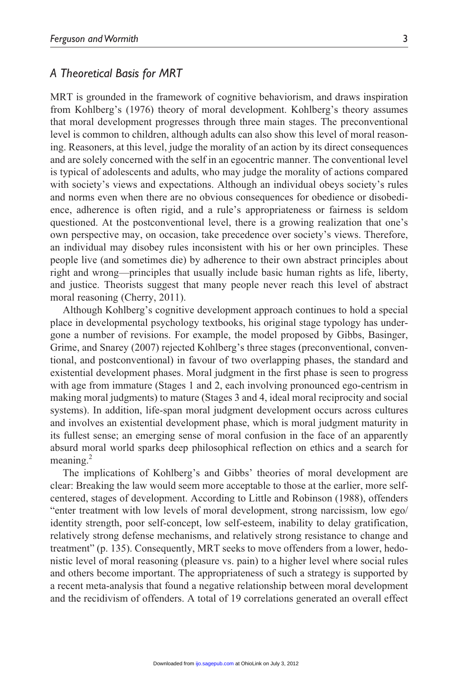#### *A Theoretical Basis for MRT*

MRT is grounded in the framework of cognitive behaviorism, and draws inspiration from Kohlberg's (1976) theory of moral development. Kohlberg's theory assumes that moral development progresses through three main stages. The preconventional level is common to children, although adults can also show this level of moral reasoning. Reasoners, at this level, judge the morality of an action by its direct consequences and are solely concerned with the self in an egocentric manner. The conventional level is typical of adolescents and adults, who may judge the morality of actions compared with society's views and expectations. Although an individual obeys society's rules and norms even when there are no obvious consequences for obedience or disobedience, adherence is often rigid, and a rule's appropriateness or fairness is seldom questioned. At the postconventional level, there is a growing realization that one's own perspective may, on occasion, take precedence over society's views. Therefore, an individual may disobey rules inconsistent with his or her own principles. These people live (and sometimes die) by adherence to their own abstract principles about right and wrong—principles that usually include basic human rights as life, liberty, and justice. Theorists suggest that many people never reach this level of abstract moral reasoning (Cherry, 2011).

Although Kohlberg's cognitive development approach continues to hold a special place in developmental psychology textbooks, his original stage typology has undergone a number of revisions. For example, the model proposed by Gibbs, Basinger, Grime, and Snarey (2007) rejected Kohlberg's three stages (preconventional, conventional, and postconventional) in favour of two overlapping phases, the standard and existential development phases. Moral judgment in the first phase is seen to progress with age from immature (Stages 1 and 2, each involving pronounced ego-centrism in making moral judgments) to mature (Stages 3 and 4, ideal moral reciprocity and social systems). In addition, life-span moral judgment development occurs across cultures and involves an existential development phase, which is moral judgment maturity in its fullest sense; an emerging sense of moral confusion in the face of an apparently absurd moral world sparks deep philosophical reflection on ethics and a search for meaning.<sup>2</sup>

The implications of Kohlberg's and Gibbs' theories of moral development are clear: Breaking the law would seem more acceptable to those at the earlier, more selfcentered, stages of development. According to Little and Robinson (1988), offenders "enter treatment with low levels of moral development, strong narcissism, low ego/ identity strength, poor self-concept, low self-esteem, inability to delay gratification, relatively strong defense mechanisms, and relatively strong resistance to change and treatment" (p. 135). Consequently, MRT seeks to move offenders from a lower, hedonistic level of moral reasoning (pleasure vs. pain) to a higher level where social rules and others become important. The appropriateness of such a strategy is supported by a recent meta-analysis that found a negative relationship between moral development and the recidivism of offenders. A total of 19 correlations generated an overall effect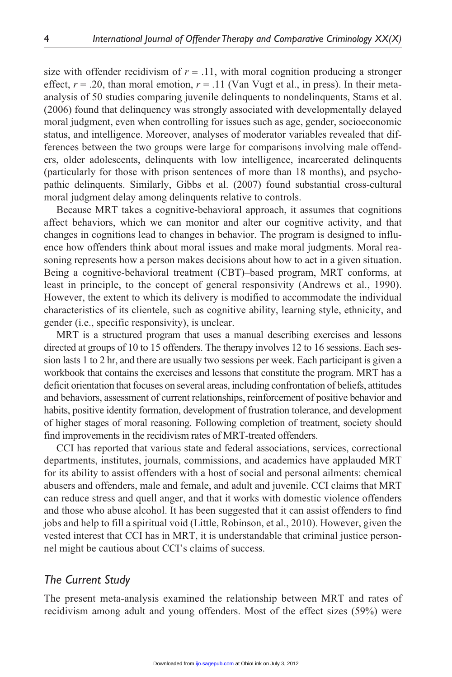size with offender recidivism of  $r = .11$ , with moral cognition producing a stronger effect,  $r = .20$ , than moral emotion,  $r = .11$  (Van Vugt et al., in press). In their metaanalysis of 50 studies comparing juvenile delinquents to nondelinquents, Stams et al. (2006) found that delinquency was strongly associated with developmentally delayed moral judgment, even when controlling for issues such as age, gender, socioeconomic status, and intelligence. Moreover, analyses of moderator variables revealed that differences between the two groups were large for comparisons involving male offenders, older adolescents, delinquents with low intelligence, incarcerated delinquents (particularly for those with prison sentences of more than 18 months), and psychopathic delinquents. Similarly, Gibbs et al. (2007) found substantial cross-cultural moral judgment delay among delinquents relative to controls.

Because MRT takes a cognitive-behavioral approach, it assumes that cognitions affect behaviors, which we can monitor and alter our cognitive activity, and that changes in cognitions lead to changes in behavior. The program is designed to influence how offenders think about moral issues and make moral judgments. Moral reasoning represents how a person makes decisions about how to act in a given situation. Being a cognitive-behavioral treatment (CBT)–based program, MRT conforms, at least in principle, to the concept of general responsivity (Andrews et al., 1990). However, the extent to which its delivery is modified to accommodate the individual characteristics of its clientele, such as cognitive ability, learning style, ethnicity, and gender (i.e., specific responsivity), is unclear.

MRT is a structured program that uses a manual describing exercises and lessons directed at groups of 10 to 15 offenders. The therapy involves 12 to 16 sessions. Each session lasts 1 to 2 hr, and there are usually two sessions per week. Each participant is given a workbook that contains the exercises and lessons that constitute the program. MRT has a deficit orientation that focuses on several areas, including confrontation of beliefs, attitudes and behaviors, assessment of current relationships, reinforcement of positive behavior and habits, positive identity formation, development of frustration tolerance, and development of higher stages of moral reasoning. Following completion of treatment, society should find improvements in the recidivism rates of MRT-treated offenders.

CCI has reported that various state and federal associations, services, correctional departments, institutes, journals, commissions, and academics have applauded MRT for its ability to assist offenders with a host of social and personal ailments: chemical abusers and offenders, male and female, and adult and juvenile. CCI claims that MRT can reduce stress and quell anger, and that it works with domestic violence offenders and those who abuse alcohol. It has been suggested that it can assist offenders to find jobs and help to fill a spiritual void (Little, Robinson, et al., 2010). However, given the vested interest that CCI has in MRT, it is understandable that criminal justice personnel might be cautious about CCI's claims of success.

# *The Current Study*

The present meta-analysis examined the relationship between MRT and rates of recidivism among adult and young offenders. Most of the effect sizes (59%) were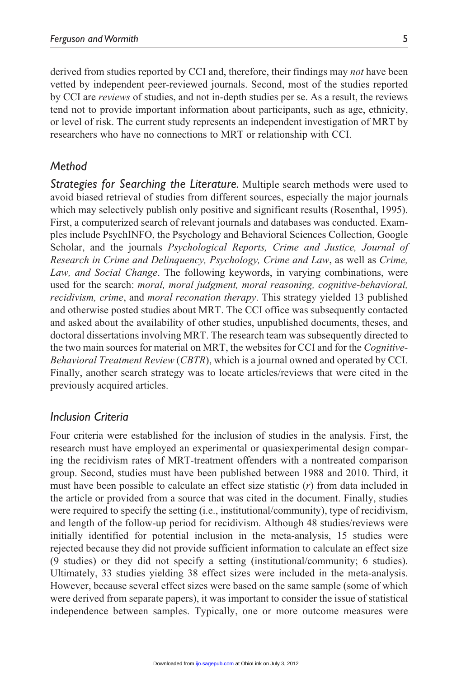derived from studies reported by CCI and, therefore, their findings may *not* have been vetted by independent peer-reviewed journals. Second, most of the studies reported by CCI are *reviews* of studies, and not in-depth studies per se. As a result, the reviews tend not to provide important information about participants, such as age, ethnicity, or level of risk. The current study represents an independent investigation of MRT by researchers who have no connections to MRT or relationship with CCI.

# *Method*

*Strategies for Searching the Literature.* Multiple search methods were used to avoid biased retrieval of studies from different sources, especially the major journals which may selectively publish only positive and significant results (Rosenthal, 1995). First, a computerized search of relevant journals and databases was conducted. Examples include PsychINFO, the Psychology and Behavioral Sciences Collection, Google Scholar, and the journals *Psychological Reports, Crime and Justice, Journal of Research in Crime and Delinquency, Psychology, Crime and Law*, as well as *Crime, Law, and Social Change*. The following keywords, in varying combinations, were used for the search: *moral, moral judgment, moral reasoning, cognitive-behavioral, recidivism, crime*, and *moral reconation therapy*. This strategy yielded 13 published and otherwise posted studies about MRT. The CCI office was subsequently contacted and asked about the availability of other studies, unpublished documents, theses, and doctoral dissertations involving MRT. The research team was subsequently directed to the two main sources for material on MRT, the websites for CCI and for the *Cognitive-Behavioral Treatment Review* (*CBTR*), which is a journal owned and operated by CCI. Finally, another search strategy was to locate articles/reviews that were cited in the previously acquired articles.

# *Inclusion Criteria*

Four criteria were established for the inclusion of studies in the analysis. First, the research must have employed an experimental or quasiexperimental design comparing the recidivism rates of MRT-treatment offenders with a nontreated comparison group. Second, studies must have been published between 1988 and 2010. Third, it must have been possible to calculate an effect size statistic (*r*) from data included in the article or provided from a source that was cited in the document. Finally, studies were required to specify the setting (i.e., institutional/community), type of recidivism, and length of the follow-up period for recidivism. Although 48 studies/reviews were initially identified for potential inclusion in the meta-analysis, 15 studies were rejected because they did not provide sufficient information to calculate an effect size (9 studies) or they did not specify a setting (institutional/community; 6 studies). Ultimately, 33 studies yielding 38 effect sizes were included in the meta-analysis. However, because several effect sizes were based on the same sample (some of which were derived from separate papers), it was important to consider the issue of statistical independence between samples. Typically, one or more outcome measures were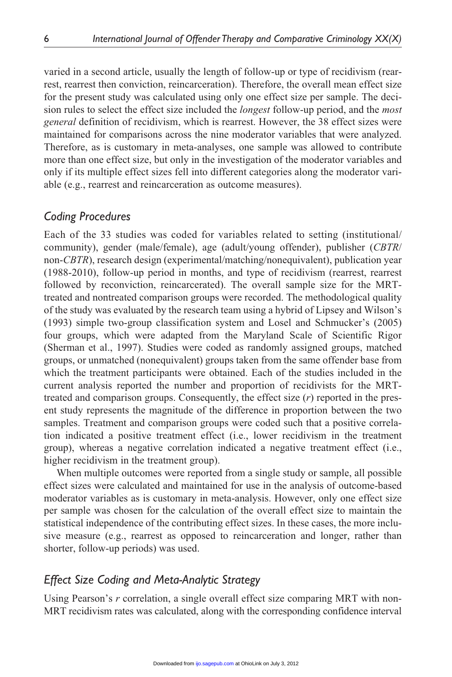varied in a second article, usually the length of follow-up or type of recidivism (rearrest, rearrest then conviction, reincarceration). Therefore, the overall mean effect size for the present study was calculated using only one effect size per sample. The decision rules to select the effect size included the *longest* follow-up period, and the *most general* definition of recidivism, which is rearrest. However, the 38 effect sizes were maintained for comparisons across the nine moderator variables that were analyzed. Therefore, as is customary in meta-analyses, one sample was allowed to contribute more than one effect size, but only in the investigation of the moderator variables and only if its multiple effect sizes fell into different categories along the moderator variable (e.g., rearrest and reincarceration as outcome measures).

# *Coding Procedures*

Each of the 33 studies was coded for variables related to setting (institutional/ community), gender (male/female), age (adult/young offender), publisher (*CBTR*/ non-*CBTR*), research design (experimental/matching/nonequivalent), publication year (1988-2010), follow-up period in months, and type of recidivism (rearrest, rearrest followed by reconviction, reincarcerated). The overall sample size for the MRTtreated and nontreated comparison groups were recorded. The methodological quality of the study was evaluated by the research team using a hybrid of Lipsey and Wilson's (1993) simple two-group classification system and Losel and Schmucker's (2005) four groups, which were adapted from the Maryland Scale of Scientific Rigor (Sherman et al., 1997). Studies were coded as randomly assigned groups, matched groups, or unmatched (nonequivalent) groups taken from the same offender base from which the treatment participants were obtained. Each of the studies included in the current analysis reported the number and proportion of recidivists for the MRTtreated and comparison groups. Consequently, the effect size (*r*) reported in the present study represents the magnitude of the difference in proportion between the two samples. Treatment and comparison groups were coded such that a positive correlation indicated a positive treatment effect (i.e., lower recidivism in the treatment group), whereas a negative correlation indicated a negative treatment effect (i.e., higher recidivism in the treatment group).

When multiple outcomes were reported from a single study or sample, all possible effect sizes were calculated and maintained for use in the analysis of outcome-based moderator variables as is customary in meta-analysis. However, only one effect size per sample was chosen for the calculation of the overall effect size to maintain the statistical independence of the contributing effect sizes. In these cases, the more inclusive measure (e.g., rearrest as opposed to reincarceration and longer, rather than shorter, follow-up periods) was used.

# *Effect Size Coding and Meta-Analytic Strategy*

Using Pearson's *r* correlation, a single overall effect size comparing MRT with non-MRT recidivism rates was calculated, along with the corresponding confidence interval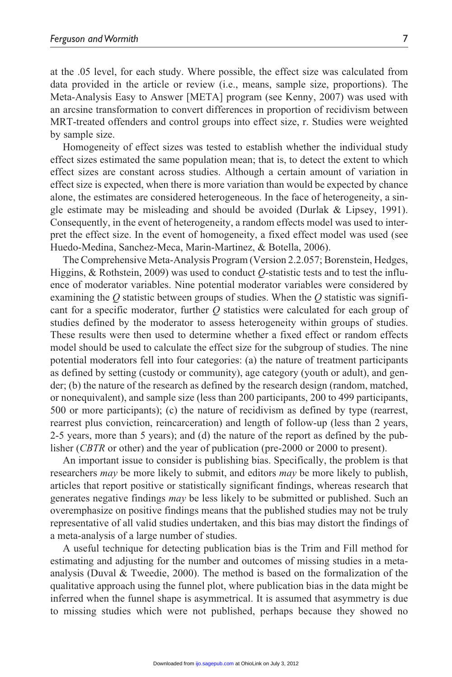at the .05 level, for each study. Where possible, the effect size was calculated from data provided in the article or review (i.e., means, sample size, proportions). The Meta-Analysis Easy to Answer [META] program (see Kenny, 2007) was used with an arcsine transformation to convert differences in proportion of recidivism between MRT-treated offenders and control groups into effect size, r. Studies were weighted by sample size.

Homogeneity of effect sizes was tested to establish whether the individual study effect sizes estimated the same population mean; that is, to detect the extent to which effect sizes are constant across studies. Although a certain amount of variation in effect size is expected, when there is more variation than would be expected by chance alone, the estimates are considered heterogeneous. In the face of heterogeneity, a single estimate may be misleading and should be avoided (Durlak & Lipsey, 1991). Consequently, in the event of heterogeneity, a random effects model was used to interpret the effect size. In the event of homogeneity, a fixed effect model was used (see Huedo-Medina, Sanchez-Meca, Marin-Martinez, & Botella, 2006).

The Comprehensive Meta-Analysis Program (Version 2.2.057; Borenstein, Hedges, Higgins, & Rothstein, 2009) was used to conduct *Q*-statistic tests and to test the influence of moderator variables. Nine potential moderator variables were considered by examining the *Q* statistic between groups of studies. When the *Q* statistic was significant for a specific moderator, further *Q* statistics were calculated for each group of studies defined by the moderator to assess heterogeneity within groups of studies. These results were then used to determine whether a fixed effect or random effects model should be used to calculate the effect size for the subgroup of studies. The nine potential moderators fell into four categories: (a) the nature of treatment participants as defined by setting (custody or community), age category (youth or adult), and gender; (b) the nature of the research as defined by the research design (random, matched, or nonequivalent), and sample size (less than 200 participants, 200 to 499 participants, 500 or more participants); (c) the nature of recidivism as defined by type (rearrest, rearrest plus conviction, reincarceration) and length of follow-up (less than 2 years, 2-5 years, more than 5 years); and (d) the nature of the report as defined by the publisher (*CBTR* or other) and the year of publication (pre-2000 or 2000 to present).

An important issue to consider is publishing bias. Specifically, the problem is that researchers *may* be more likely to submit, and editors *may* be more likely to publish, articles that report positive or statistically significant findings, whereas research that generates negative findings *may* be less likely to be submitted or published. Such an overemphasize on positive findings means that the published studies may not be truly representative of all valid studies undertaken, and this bias may distort the findings of a meta-analysis of a large number of studies.

A useful technique for detecting publication bias is the Trim and Fill method for estimating and adjusting for the number and outcomes of missing studies in a metaanalysis (Duval  $&$  Tweedie, 2000). The method is based on the formalization of the qualitative approach using the funnel plot, where publication bias in the data might be inferred when the funnel shape is asymmetrical. It is assumed that asymmetry is due to missing studies which were not published, perhaps because they showed no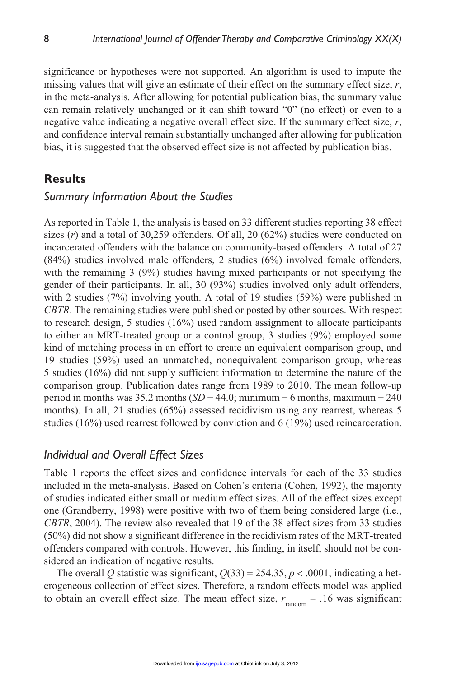significance or hypotheses were not supported. An algorithm is used to impute the missing values that will give an estimate of their effect on the summary effect size, *r*, in the meta-analysis. After allowing for potential publication bias, the summary value can remain relatively unchanged or it can shift toward "0" (no effect) or even to a negative value indicating a negative overall effect size. If the summary effect size, *r*, and confidence interval remain substantially unchanged after allowing for publication bias, it is suggested that the observed effect size is not affected by publication bias.

# **Results**

# *Summary Information About the Studies*

As reported in Table 1, the analysis is based on 33 different studies reporting 38 effect sizes (*r*) and a total of 30,259 offenders. Of all, 20 (62%) studies were conducted on incarcerated offenders with the balance on community-based offenders. A total of 27 (84%) studies involved male offenders, 2 studies (6%) involved female offenders, with the remaining 3 (9%) studies having mixed participants or not specifying the gender of their participants. In all, 30 (93%) studies involved only adult offenders, with 2 studies (7%) involving youth. A total of 19 studies (59%) were published in *CBTR*. The remaining studies were published or posted by other sources. With respect to research design, 5 studies (16%) used random assignment to allocate participants to either an MRT-treated group or a control group, 3 studies (9%) employed some kind of matching process in an effort to create an equivalent comparison group, and 19 studies (59%) used an unmatched, nonequivalent comparison group, whereas 5 studies (16%) did not supply sufficient information to determine the nature of the comparison group. Publication dates range from 1989 to 2010. The mean follow-up period in months was  $35.2$  months  $(SD = 44.0; \text{minimum} = 6 \text{ months}, \text{maximum} = 240$ months). In all, 21 studies (65%) assessed recidivism using any rearrest, whereas 5 studies (16%) used rearrest followed by conviction and 6 (19%) used reincarceration.

# *Individual and Overall Effect Sizes*

Table 1 reports the effect sizes and confidence intervals for each of the 33 studies included in the meta-analysis. Based on Cohen's criteria (Cohen, 1992), the majority of studies indicated either small or medium effect sizes. All of the effect sizes except one (Grandberry, 1998) were positive with two of them being considered large (i.e., *CBTR*, 2004). The review also revealed that 19 of the 38 effect sizes from 33 studies (50%) did not show a significant difference in the recidivism rates of the MRT-treated offenders compared with controls. However, this finding, in itself, should not be considered an indication of negative results.

The overall Q statistic was significant,  $Q(33) = 254.35$ ,  $p < .0001$ , indicating a heterogeneous collection of effect sizes. Therefore, a random effects model was applied to obtain an overall effect size. The mean effect size,  $r_{\text{random}} = .16$  was significant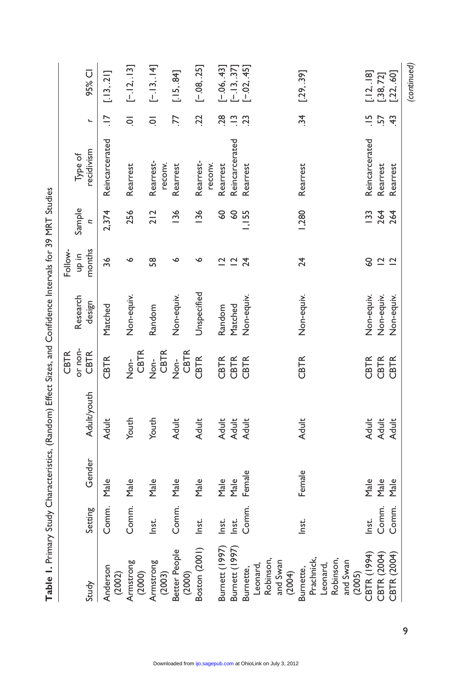|                                                                        |         |        | continued to the control of the control of the control of the control of the control of the control of the control of the control of the control of the control of the control of the control of the control of the control of |                       |             |                                          |                    |                      |                      |                                |
|------------------------------------------------------------------------|---------|--------|--------------------------------------------------------------------------------------------------------------------------------------------------------------------------------------------------------------------------------|-----------------------|-------------|------------------------------------------|--------------------|----------------------|----------------------|--------------------------------|
|                                                                        |         |        |                                                                                                                                                                                                                                | or non-<br>CBTR       | Research    | Follow-<br>ai qu                         | Sample             | Type of              |                      |                                |
| Study                                                                  | Setting | Gender | <b>Adult/youth</b>                                                                                                                                                                                                             | <b>CBTR</b>           | design      | months                                   | $\overline{z}$     | recidivism           | $\overline{a}$       | 95% CI                         |
| Anderson<br>(2002)                                                     | Comm.   | Male   | Adult                                                                                                                                                                                                                          | <b>CBTR</b>           | Matched     | 36                                       | 2,374              | Reincarcerated       | $\overline{a}$       | $[-13, 21]$                    |
| Armstrong<br>(2000)                                                    | Comm.   | Male   | Youth                                                                                                                                                                                                                          | CBTR<br>Non-          | Non-equiv.  | ∾                                        | 256                | Rearrest             | $\overline{a}$       | $[-12, 13]$                    |
| Armstrong<br>(2003)                                                    | Inst.   | Male   | Youth                                                                                                                                                                                                                          | CBTR<br>$\frac{1}{2}$ | Random      | 58                                       | 212                | Rearrest-<br>reconv. | $\overline{a}$       | $[-.13, .14]$                  |
| Better People<br>(2000)                                                | Comm.   | Male   | Adult                                                                                                                                                                                                                          | CBTR<br>$\frac{1}{2}$ | Non-equiv.  | ∾                                        | 136                | Rearrest             | 77                   | $[-15, 84]$                    |
| Boston (2001)                                                          | Inst.   | Male   | <b>Adult</b>                                                                                                                                                                                                                   | <b>CBTR</b>           | Unspecified | ∾                                        | 136                | Rearrest-<br>reconv. | 22                   | $[-.08, .25]$                  |
| Burnett (1997)                                                         | Inst.   | Male   | Adult                                                                                                                                                                                                                          | CBTR                  | Random      | $\overline{\mathsf{C}}$                  | $\overline{60}$    | Rearrest             | 28                   | $[-.06, .43]$                  |
| Burnett (1997)                                                         | Inst.   | Male   | Adult                                                                                                                                                                                                                          | CBTR                  | Matched     | $\bar{\mathbin{\scriptstyle\mathsf{u}}}$ | <b>GO</b>          | Reincarcerated       | $\tilde{\mathbf{u}}$ |                                |
| Burnette,                                                              | Comm.   | Female | <b>Adult</b>                                                                                                                                                                                                                   | CBTR                  | Non-equiv.  | $\overline{24}$                          | I, I <sub>55</sub> | Rearrest             | 23                   | $[-.13, .37]$<br>$[-.02, .45]$ |
| Robinson,<br>and Swan<br>Leonard,<br>(2004)                            |         |        |                                                                                                                                                                                                                                |                       |             |                                          |                    |                      |                      |                                |
| Prachnick,<br>Robinson,<br>and Swan<br>Leonard,<br>Burnette,<br>(2005) | Inst.   | Female | <b>Adult</b>                                                                                                                                                                                                                   | <b>CBTR</b>           | Non-equiv.  | 24                                       | 1,280              | Rearrest             | $\ddot{34}$          | [.29, .39]                     |
| CBTR (1994)                                                            | Inst.   | Male   | Adult                                                                                                                                                                                                                          | CBTR                  | Non-equiv.  | <b>S</b>                                 | <b>133</b>         | Reincarcerated       | $\frac{5}{1}$        | $[-12, 18]$                    |
| CBTR (2004)                                                            | Comm.   | Male   | Adult                                                                                                                                                                                                                          | CBTR                  | Non-equiv.  | $\overline{C}$                           | 264                | Rearrest             | 57                   | $[-38, 72]$                    |
| CBTR (2004)                                                            | Comm.   | Male   | <b>Adult</b>                                                                                                                                                                                                                   | CBTR                  | Non-equiv.  | $\overline{C}$                           | 264                | Rearrest             | $\ddot{+}$           | [.22, .60]                     |
|                                                                        |         |        |                                                                                                                                                                                                                                |                       |             |                                          |                    |                      |                      | (continued)                    |

9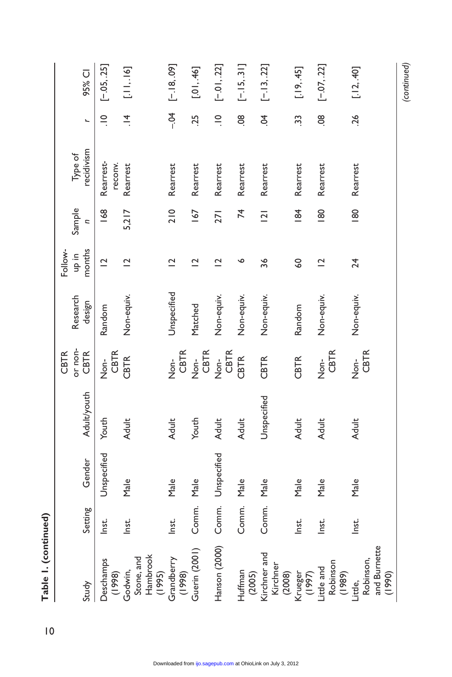| Table 1. (continued)                           |         |                   |                    |                        |             |                         |                          |                      |                |               |
|------------------------------------------------|---------|-------------------|--------------------|------------------------|-------------|-------------------------|--------------------------|----------------------|----------------|---------------|
|                                                |         |                   |                    | or non-<br><b>CBTR</b> | Research    | Follow-<br>ai qu        | Sample                   | Type of              |                |               |
| Study                                          | Setting | Gender            | <b>Adult/youth</b> | <b>CBTR</b>            | design      | nonths                  | $\overline{\phantom{a}}$ | recidivism           | L              | 95% CI        |
| Deschamps<br>(1998)                            | Inst.   | Unspecified       | Youth              | CBTR<br>Non-           | Random      | $\overline{C}$          | $\frac{8}{8}$            | Rearrest-<br>reconv. | $\frac{1}{1}$  | $[-05, 25]$   |
| Hambrook<br>Stone, and<br>Godwin,<br>(1995)    | Inst.   | Male              | <b>Adult</b>       | <b>CBTR</b>            | Non-equiv.  | $\overline{C}$          | 5,217                    | Rearrest             | $\frac{4}{1}$  | [.11, .16]    |
| Grandberry<br>(1998)                           | Inst.   | Male              | Adult              | CBTR<br>Nor-           | Unspecified | $\overline{\mathbf{C}}$ | 210                      | Rearrest             | $-0.1$         | $[-.18, .09]$ |
| Guerin (2001)                                  | Comm.   | Male              | Youth              | CBTR<br>$\frac{1}{2}$  | Matched     | $\overline{C}$          | 167                      | Rearrest             | .25            | [.01, .46]    |
| Hanson (2000)                                  |         | Comm. Unspecified | <b>Adult</b>       | CBTR<br>$\frac{1}{2}$  | Non-equiv.  | $\overline{C}$          | 271                      | Rearrest             | $\frac{1}{2}$  | $[-01, 22]$   |
| Huffman<br>(2005)                              | Comm.   | Male              | <b>Adult</b>       | <b>CBTR</b>            | Non-equiv.  | ∾                       | $\overline{7}$           | Rearrest             | $\overline{8}$ | $[-.15, .31]$ |
| Kirchner and<br>Kirchner<br>(2008)             | Comm.   | Male              | Unspecified        | <b>CBTR</b>            | Non-equiv.  | 36                      | $\overline{2}$           | Rearrest             | Ś.             | $[-.13, .22]$ |
| Krueger<br>(1997)                              | Inst.   | Male              | <b>Adult</b>       | <b>CBTR</b>            | Random      | SO                      | $\frac{84}{5}$           | Rearrest             | 33             | [.19, .45]    |
| Robinson<br>Little and<br>(989)                | Inst.   | $M$ a $e$         | <b>Adult</b>       | <b>CBTR</b><br>don-    | Non-equiv.  | $\overline{C}$          | $\frac{80}{2}$           | Rearrest             | $\overline{8}$ | $[-07, 22]$   |
| and Burnette<br>Robinson,<br>(1990)<br>Little, | Inst.   | Male              | <b>Adult</b>       | CBTR<br>Non-           | Non-equiv.  | 24                      | $\frac{80}{2}$           | Rearrest             | 26             | [.12, .40]    |
|                                                |         |                   |                    |                        |             |                         |                          |                      |                | (continued)   |

10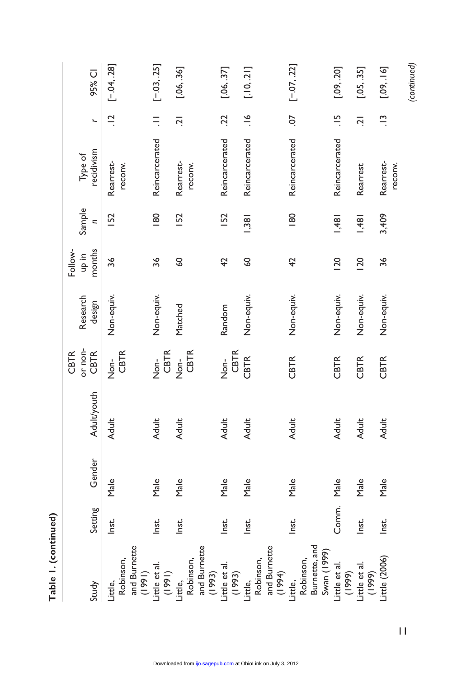|                                                            |         |        |              | CBTR                   |                    | Follow-         |                          |                       |                |               |
|------------------------------------------------------------|---------|--------|--------------|------------------------|--------------------|-----------------|--------------------------|-----------------------|----------------|---------------|
| Study                                                      | Setting | Gender | Adult/youth  | or non-<br><b>CBTR</b> | Research<br>design | months<br>ai qu | Sample<br>$\overline{c}$ | recidivism<br>Type of | $\overline{a}$ | 95% CI        |
| and Burnette<br>Robinson,<br>(1991)<br>Little,             | Inst.   | Male   | Adult        | CBTR<br>Non-           | Non-equiv.         | 36              | <b>IS2</b>               | Rearrest-<br>reconv.  | $\frac{1}{2}$  | $[-.04, .28]$ |
| Little et al.<br>(1991)                                    | Inst.   | Male   | Adult        | CBTR<br>$\frac{1}{2}$  | Non-equiv.         | 36              | $\frac{80}{2}$           | Reincarcerated        |                | $[-03, 25]$   |
| and Burnette<br>Robinson,<br>(1993)<br>Little,             | Inst.   | Male   | <b>Adult</b> | Non-<br>CBTR           | Matched            | SO              | <b>IS2</b>               | Rearrest-<br>reconv.  | $\overline{a}$ | [.06, .36]    |
| Little et al.                                              | Inst.   | Male   | <b>Adult</b> | CBTR<br>$\frac{1}{2}$  | Random             | $\overline{4}$  | <b>IS2</b>               | Reincarcerated        | $\overline{2}$ | [.06, .37]    |
| and Burnette<br>Robinson,<br>$(1993)$<br>Little,<br>(1994) | Inst.   | Male   | <b>Adult</b> | CBTR                   | Non-equiv.         | $\overline{60}$ | 38                       | Reincarcerated        | $\frac{6}{1}$  | [.10, .21]    |
| Burnette, and<br>Swan (1999)<br>Robinson,<br>Little,       | Inst.   | Male   | <b>Adult</b> | <b>CBTR</b>            | Non-equiv.         | $\overline{4}$  | $\frac{80}{2}$           | Reincarcerated        | $\overline{c}$ | $[-07, 22]$   |
| ittle et al.<br>(6661)                                     | Comm.   | Male   | Adult        | <b>CBTR</b>            | Non-equiv.         | 120             | 1,481                    | Reincarcerated        | $\frac{5}{1}$  | [.09, .20]    |
| little et al.<br>(1999)                                    | Inst.   | Male   | <b>Adult</b> | CBTR                   | Non-equiv.         | 120             | 1,481                    | Rearrest              | $\overline{a}$ | [.05, .35]    |
| $i$ ttle $(2006)$                                          | Inst.   | Male   | <b>Adult</b> | CBTR                   | Non-equiv.         | 36              | 3,409                    | Rearrest-<br>reconv.  | $\frac{1}{2}$  | [.09, .16]    |
|                                                            |         |        |              |                        |                    |                 |                          |                       |                | (continued)   |

Table I. (continued) **Table 1. (continued)**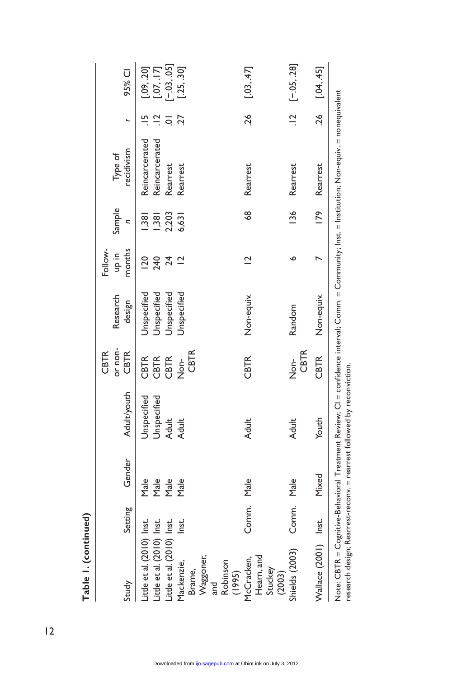| Study                                                                                                                                          | Setting    | Gender                       | <b>Adult/youth</b>                           | or non-<br>CBTR<br>CBTR                     | Research<br>design                                       | Follow-<br>months<br>ai qu   | Sample<br>$\overline{\phantom{a}}$       | recidivism<br>Type of                                                                                                                            | L                        | 95% CI                                                     |
|------------------------------------------------------------------------------------------------------------------------------------------------|------------|------------------------------|----------------------------------------------|---------------------------------------------|----------------------------------------------------------|------------------------------|------------------------------------------|--------------------------------------------------------------------------------------------------------------------------------------------------|--------------------------|------------------------------------------------------------|
| Little et al. (2010) Inst.<br>Little et al. (2010) Inst.<br>Little et al. (2010) Inst.<br>Waggoner,<br>Mackenzie,<br>Robinson<br>Brame,<br>and | Inst.      | Male<br>Male<br>Male<br>Male | Jnspecified<br>Unspecified<br>Adult<br>Adult | <b>CBTR</b><br>CBTR<br>CBTR<br>CBTR<br>don- | Jnspecified<br>Jnspecified<br>Jnspecified<br>Jnspecified | $\overline{20}$<br>240<br>24 | 2,203<br>$\frac{1}{28}$<br> 38 <br>6,631 | Reincarcerated<br>Reincarcerated<br>Rearrest<br>Rearrest                                                                                         | $\frac{1}{2}$<br>27<br>ā | $[-0.3, 0.05]$<br>[.07, .17]<br>$[-25, .30]$<br>[.09, .20] |
| Hearn, and<br>McCracken,<br>Stuckey<br>(1995)                                                                                                  | Comm. Male |                              | <b>Adult</b>                                 | CBTR                                        | Non-equiv.                                               | $\overline{\mathbf{C}}$      | 68                                       | Rearrest                                                                                                                                         | .26                      | [.03, .47]                                                 |
| Shields (2003)<br>(2003)                                                                                                                       | Comm. Male |                              | <b>Adult</b>                                 | <b>CBTR</b><br>dor<br>Z                     | Random                                                   | ە                            | <b>136</b>                               | Rearrest                                                                                                                                         |                          | $[12 [ -0.05, .28]$                                        |
| Wallace (2001) Inst.                                                                                                                           |            | Mixed                        | Youth                                        | CBTR                                        | Non-equiv.                                               |                              | <b>179</b>                               | Rearrest                                                                                                                                         | .26                      | [.04, .45]                                                 |
| research design; Rearrest-reconv. = rearrest followed by reconviction.                                                                         |            |                              |                                              |                                             |                                                          |                              |                                          | Note: CBTR = Cognitive-Behavioral Treatment Review; CI = confidence interval; Comm. = Community; Inst. = Institution; Non-equiv. = nonequivalent |                          |                                                            |

Table I. (continued) **Table 1. (continued)**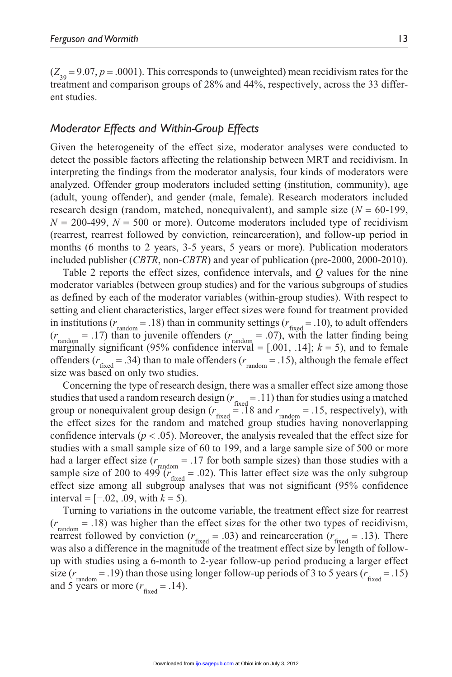$(Z_{39} = 9.07, p = .0001)$ . This corresponds to (unweighted) mean recidivism rates for the treatment and comparison groups of 28% and 44%, respectively, across the 33 different studies.

# *Moderator Effects and Within-Group Effects*

Given the heterogeneity of the effect size, moderator analyses were conducted to detect the possible factors affecting the relationship between MRT and recidivism. In interpreting the findings from the moderator analysis, four kinds of moderators were analyzed. Offender group moderators included setting (institution, community), age (adult, young offender), and gender (male, female). Research moderators included research design (random, matched, nonequivalent), and sample size  $(N = 60-199)$ ,  $N = 200-499$ ,  $N = 500$  or more). Outcome moderators included type of recidivism (rearrest, rearrest followed by conviction, reincarceration), and follow-up period in months (6 months to 2 years, 3-5 years, 5 years or more). Publication moderators included publisher (*CBTR*, non-*CBTR*) and year of publication (pre-2000, 2000-2010).

Table 2 reports the effect sizes, confidence intervals, and *Q* values for the nine moderator variables (between group studies) and for the various subgroups of studies as defined by each of the moderator variables (within-group studies). With respect to setting and client characteristics, larger effect sizes were found for treatment provided in institutions ( $r_{\text{random}} = .18$ ) than in community settings ( $r_{\text{fixed}} = .10$ ), to adult offenders  $(r<sub>random</sub> = .17)$  than to juvenile offenders  $(r<sub>random</sub> = .07)$ , with the latter finding being marginally significant (95% confidence interval  $=$  [.001, .14];  $k = 5$ ), and to female offenders ( $r_{\text{fixed}} = .34$ ) than to male offenders ( $r_{\text{random}} = .15$ ), although the female effect size was based on only two studies.

Concerning the type of research design, there was a smaller effect size among those studies that used a random research design  $(r_{\text{fixed}} = .11)$  than for studies using a matched group or nonequivalent group design  $(r_{\text{fixed}} = 18 \text{ and } r_{\text{random}} = 0.15, \text{ respectively})$ , with the effect sizes for the random and matched group studies having nonoverlapping confidence intervals ( $p < .05$ ). Moreover, the analysis revealed that the effect size for studies with a small sample size of 60 to 199, and a large sample size of 500 or more had a larger effect size  $(r_{\text{random}} = .17 \text{ for both sample sizes})$  than those studies with a sample size of 200 to 499  $(r<sub>fixed</sub> = .02)$ . This latter effect size was the only subgroup effect size among all subgroup analyses that was not significant (95% confidence interval = [−.02, .09, with *k* = 5).

Turning to variations in the outcome variable, the treatment effect size for rearrest  $(r_{\text{random}} = .18)$  was higher than the effect sizes for the other two types of recidivism, rearrest followed by conviction  $(r_{\text{fixed}} = .03)$  and reincarceration  $(r_{\text{fixed}} = .13)$ . There was also a difference in the magnitude of the treatment effect size by length of followup with studies using a 6-month to 2-year follow-up period producing a larger effect size  $(r_{\text{random}} = .19)$  than those using longer follow-up periods of 3 to 5 years  $(r_{\text{fixed}} = .15)$ and 5 years or more  $(r_{\text{fixed}} = .14)$ .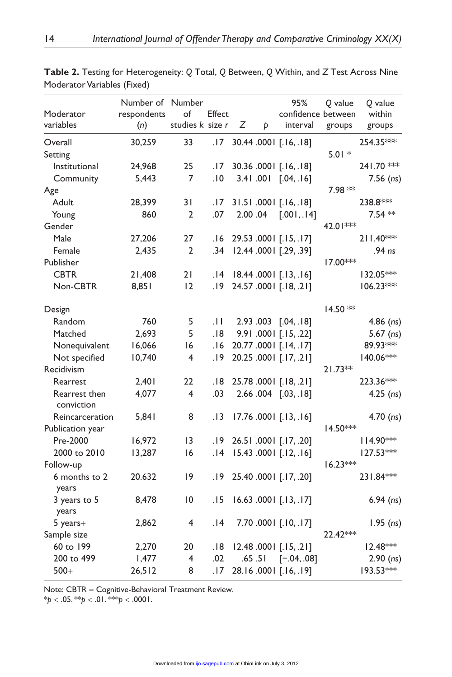| Moderator<br>variables      | Number of Number<br>respondents<br>(n) | of<br>studies k size r | Effect | Ζ       | Þ      | 95%<br>confidence between<br>interval | Q value<br>groups | Q value<br>within<br>groups |
|-----------------------------|----------------------------------------|------------------------|--------|---------|--------|---------------------------------------|-------------------|-----------------------------|
| Overall                     | 30,259                                 | 33                     | .17    |         |        | 30.44 .0001 [.16, .18]                |                   | 254.35***                   |
| Setting                     |                                        |                        |        |         |        |                                       | $5.01*$           |                             |
| Institutional               | 24,968                                 | 25                     | .17    |         |        | 30.36 .0001 [.16, .18]                |                   | 241.70 **                   |
| Community                   | 5,443                                  | 7                      | .10    |         |        | 3.41.001 [.04,.16]                    |                   | $7.56$ (ns)                 |
| Age                         |                                        |                        |        |         |        |                                       | 7.98 **           |                             |
| Adult                       | 28,399                                 | 31                     | .17    |         |        | 31.51.0001 [.16,.18]                  |                   | 238.8***                    |
| Young                       | 860                                    | $\overline{2}$         | .07    | 2.00.04 |        | [.001, .14]                           |                   | $7.54**$                    |
| Gender                      |                                        |                        |        |         |        |                                       | 42.01***          |                             |
| Male                        | 27,206                                 | 27                     | ا 6.   |         |        | 29.53 .0001 [.15, .17]                |                   | 211.40***                   |
| Female                      | 2,435                                  | $\overline{2}$         | .34    |         |        | 12.44 .0001 [.29, .39]                |                   | .94 ns                      |
| Publisher                   |                                        |                        |        |         |        |                                       | 17.00***          |                             |
| <b>CBTR</b>                 | 21,408                                 | 21                     | ا .    |         |        | 18.44.0001 [.13,.16]                  |                   | 132.05***                   |
| Non-CBTR                    | 8,851                                  | 12                     | .19    |         |        | 24.57 .0001 [.18, .21]                |                   | 106.23***                   |
| Design                      |                                        |                        |        |         |        |                                       | $14.50**$         |                             |
| Random                      | 760                                    | 5                      | .11    |         |        | 2.93.003 [.04,.18]                    |                   | $4.86$ (ns)                 |
| Matched                     | 2,693                                  | 5                      | .18    |         |        | 9.91 .0001 [.15, .22]                 |                   | $5.67$ (ns)                 |
| Nonequivalent               | 16,066                                 | 16                     | .16    |         |        | 20.77 .0001 [.14, .17]                |                   | 89.93 ***                   |
| Not specified               | 10,740                                 | 4                      | ۱9.    |         |        | 20.25 .0001 [.17, .21]                |                   | 140.06***                   |
| Recidivism                  |                                        |                        |        |         |        |                                       | $21.73**$         |                             |
| Rearrest                    | 2,401                                  | 22                     | 18.    |         |        | 25.78.0001 [.18, .21]                 |                   | 223.36***                   |
| Rearrest then<br>conviction | 4,077                                  | 4                      | .03    |         |        | 2.66.004 [.03,.18]                    |                   | $4.25$ (ns)                 |
| Reincarceration             | 5,841                                  | 8                      | .13    |         |        | 17.76 .000   [.13, .16]               |                   | $4.70$ (ns)                 |
| Publication year            |                                        |                        |        |         |        |                                       | $14.50***$        |                             |
| Pre-2000                    | 16,972                                 | 3                      | . 19   |         |        | 26.51.0001 [.17,.20]                  |                   | 114.90 ***                  |
| 2000 to 2010                | 13,287                                 | 16                     | 14.    |         |        | 15.43 .0001 [.12, .16]                |                   | $127.53***$                 |
| Follow-up                   |                                        |                        |        |         |        |                                       | $16.23***$        |                             |
| 6 months to 2<br>years      | 20.632                                 | $ 9\rangle$            | .19    |         |        | 25.40 .000   [.17, .20]               |                   | 231.84 ***                  |
| 3 years to 5<br>years       | 8,478                                  | 10                     | . I 5  |         |        | 16.63 .0001 [.13, .17]                |                   | $6.94$ (ns)                 |
| 5 years+                    | 2,862                                  | 4                      | 14.    |         |        | 7.70 .000 [.10, .17]                  |                   | $1.95$ (ns)                 |
| Sample size                 |                                        |                        |        |         |        |                                       | 22.42***          |                             |
| 60 to 199                   | 2,270                                  | 20                     | .18    |         |        | 12.48 .000   [.15, .21]               |                   | 12.48***                    |
| 200 to 499                  | 1,477                                  | 4                      | .02    |         | .65.51 | $[-.04, .08]$                         |                   | $2.90$ (ns)                 |
| $500+$                      | 26,512                                 | 8                      | .17    |         |        | 28.16.0001 [.16,.19]                  |                   | 193.53***                   |

**Table 2.** Testing for Heterogeneity: *Q* Total, *Q* Between, *Q* Within, and *Z* Test Across Nine Moderator Variables (Fixed)

Note: CBTR = Cognitive-Behavioral Treatment Review.

 $* p < .05. ** p < .01.*** p < .0001.$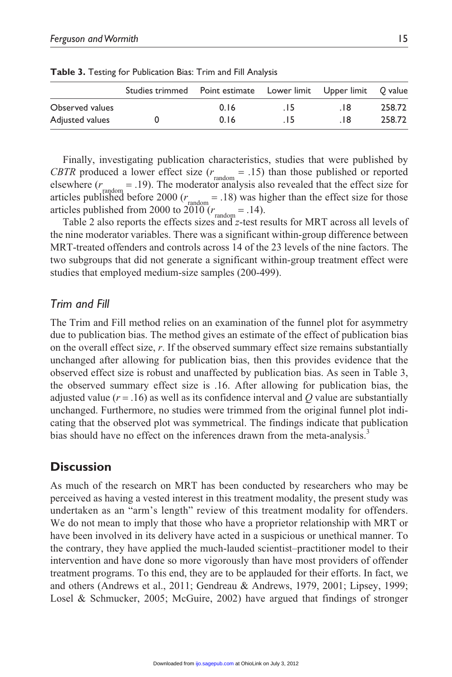|                 | Studies trimmed  Point estimate  Lower limit  Upper limit  Q value |      |       |     |        |
|-----------------|--------------------------------------------------------------------|------|-------|-----|--------|
| Observed values |                                                                    | 0.16 | . 15  | .18 | 258.72 |
| Adjusted values |                                                                    | 0.16 | . I 5 | 18  | 258.72 |

**Table 3.** Testing for Publication Bias: Trim and Fill Analysis

Finally, investigating publication characteristics, studies that were published by *CBTR* produced a lower effect size  $(r_{\text{random}} = .15)$  than those published or reported elsewhere  $(r<sub>random</sub> = .19)$ . The moderator analysis also revealed that the effect size for articles published before 2000 ( $r_{\text{random}} = .18$ ) was higher than the effect size for those articles published from 2000 to  $2\overline{010}$  ( $r_{\text{random}} = .14$ ).

Table 2 also reports the effects sizes and *z*-test results for MRT across all levels of the nine moderator variables. There was a significant within-group difference between MRT-treated offenders and controls across 14 of the 23 levels of the nine factors. The two subgroups that did not generate a significant within-group treatment effect were studies that employed medium-size samples (200-499).

#### *Trim and Fill*

The Trim and Fill method relies on an examination of the funnel plot for asymmetry due to publication bias. The method gives an estimate of the effect of publication bias on the overall effect size, *r*. If the observed summary effect size remains substantially unchanged after allowing for publication bias, then this provides evidence that the observed effect size is robust and unaffected by publication bias. As seen in Table 3, the observed summary effect size is .16. After allowing for publication bias, the adjusted value  $(r = .16)$  as well as its confidence interval and  $Q$  value are substantially unchanged. Furthermore, no studies were trimmed from the original funnel plot indicating that the observed plot was symmetrical. The findings indicate that publication bias should have no effect on the inferences drawn from the meta-analysis.<sup>3</sup>

# **Discussion**

As much of the research on MRT has been conducted by researchers who may be perceived as having a vested interest in this treatment modality, the present study was undertaken as an "arm's length" review of this treatment modality for offenders. We do not mean to imply that those who have a proprietor relationship with MRT or have been involved in its delivery have acted in a suspicious or unethical manner. To the contrary, they have applied the much-lauded scientist–practitioner model to their intervention and have done so more vigorously than have most providers of offender treatment programs. To this end, they are to be applauded for their efforts. In fact, we and others (Andrews et al., 2011; Gendreau & Andrews, 1979, 2001; Lipsey, 1999; Losel & Schmucker, 2005; McGuire, 2002) have argued that findings of stronger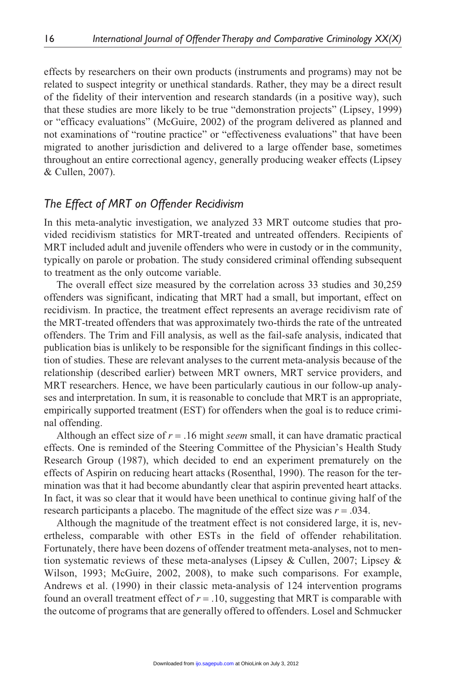effects by researchers on their own products (instruments and programs) may not be related to suspect integrity or unethical standards. Rather, they may be a direct result of the fidelity of their intervention and research standards (in a positive way), such that these studies are more likely to be true "demonstration projects" (Lipsey, 1999) or "efficacy evaluations" (McGuire, 2002) of the program delivered as planned and not examinations of "routine practice" or "effectiveness evaluations" that have been migrated to another jurisdiction and delivered to a large offender base, sometimes throughout an entire correctional agency, generally producing weaker effects (Lipsey & Cullen, 2007).

# *The Effect of MRT on Offender Recidivism*

In this meta-analytic investigation, we analyzed 33 MRT outcome studies that provided recidivism statistics for MRT-treated and untreated offenders. Recipients of MRT included adult and juvenile offenders who were in custody or in the community, typically on parole or probation. The study considered criminal offending subsequent to treatment as the only outcome variable.

The overall effect size measured by the correlation across 33 studies and 30,259 offenders was significant, indicating that MRT had a small, but important, effect on recidivism. In practice, the treatment effect represents an average recidivism rate of the MRT-treated offenders that was approximately two-thirds the rate of the untreated offenders. The Trim and Fill analysis, as well as the fail-safe analysis, indicated that publication bias is unlikely to be responsible for the significant findings in this collection of studies. These are relevant analyses to the current meta-analysis because of the relationship (described earlier) between MRT owners, MRT service providers, and MRT researchers. Hence, we have been particularly cautious in our follow-up analyses and interpretation. In sum, it is reasonable to conclude that MRT is an appropriate, empirically supported treatment (EST) for offenders when the goal is to reduce criminal offending.

Although an effect size of *r* = .16 might *seem* small, it can have dramatic practical effects. One is reminded of the Steering Committee of the Physician's Health Study Research Group (1987), which decided to end an experiment prematurely on the effects of Aspirin on reducing heart attacks (Rosenthal, 1990). The reason for the termination was that it had become abundantly clear that aspirin prevented heart attacks. In fact, it was so clear that it would have been unethical to continue giving half of the research participants a placebo. The magnitude of the effect size was *r* = .034.

Although the magnitude of the treatment effect is not considered large, it is, nevertheless, comparable with other ESTs in the field of offender rehabilitation. Fortunately, there have been dozens of offender treatment meta-analyses, not to mention systematic reviews of these meta-analyses (Lipsey & Cullen, 2007; Lipsey & Wilson, 1993; McGuire, 2002, 2008), to make such comparisons. For example, Andrews et al. (1990) in their classic meta-analysis of 124 intervention programs found an overall treatment effect of  $r = .10$ , suggesting that MRT is comparable with the outcome of programs that are generally offered to offenders. Losel and Schmucker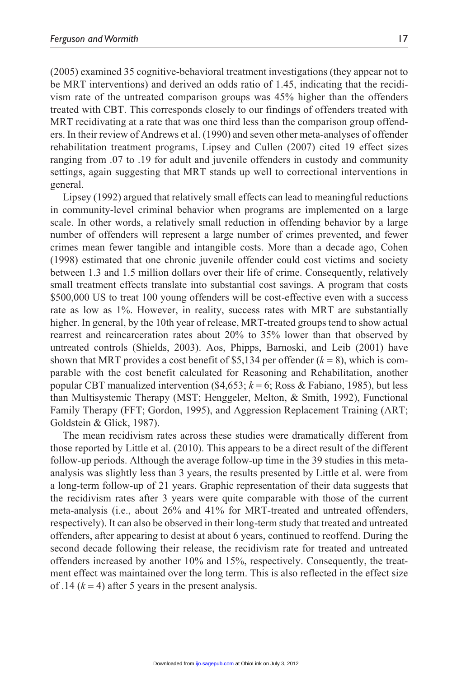(2005) examined 35 cognitive-behavioral treatment investigations (they appear not to be MRT interventions) and derived an odds ratio of 1.45, indicating that the recidivism rate of the untreated comparison groups was 45% higher than the offenders treated with CBT. This corresponds closely to our findings of offenders treated with MRT recidivating at a rate that was one third less than the comparison group offenders. In their review of Andrews et al. (1990) and seven other meta-analyses of offender rehabilitation treatment programs, Lipsey and Cullen (2007) cited 19 effect sizes ranging from .07 to .19 for adult and juvenile offenders in custody and community settings, again suggesting that MRT stands up well to correctional interventions in general.

Lipsey (1992) argued that relatively small effects can lead to meaningful reductions in community-level criminal behavior when programs are implemented on a large scale. In other words, a relatively small reduction in offending behavior by a large number of offenders will represent a large number of crimes prevented, and fewer crimes mean fewer tangible and intangible costs. More than a decade ago, Cohen (1998) estimated that one chronic juvenile offender could cost victims and society between 1.3 and 1.5 million dollars over their life of crime. Consequently, relatively small treatment effects translate into substantial cost savings. A program that costs \$500,000 US to treat 100 young offenders will be cost-effective even with a success rate as low as 1%. However, in reality, success rates with MRT are substantially higher. In general, by the 10th year of release, MRT-treated groups tend to show actual rearrest and reincarceration rates about 20% to 35% lower than that observed by untreated controls (Shields, 2003). Aos, Phipps, Barnoski, and Leib (2001) have shown that MRT provides a cost benefit of \$5,134 per offender  $(k = 8)$ , which is comparable with the cost benefit calculated for Reasoning and Rehabilitation, another popular CBT manualized intervention (\$4,653;  $k = 6$ ; Ross & Fabiano, 1985), but less than Multisystemic Therapy (MST; Henggeler, Melton, & Smith, 1992), Functional Family Therapy (FFT; Gordon, 1995), and Aggression Replacement Training (ART; Goldstein & Glick, 1987).

The mean recidivism rates across these studies were dramatically different from those reported by Little et al. (2010). This appears to be a direct result of the different follow-up periods. Although the average follow-up time in the 39 studies in this metaanalysis was slightly less than 3 years, the results presented by Little et al. were from a long-term follow-up of 21 years. Graphic representation of their data suggests that the recidivism rates after 3 years were quite comparable with those of the current meta-analysis (i.e., about 26% and 41% for MRT-treated and untreated offenders, respectively). It can also be observed in their long-term study that treated and untreated offenders, after appearing to desist at about 6 years, continued to reoffend. During the second decade following their release, the recidivism rate for treated and untreated offenders increased by another 10% and 15%, respectively. Consequently, the treatment effect was maintained over the long term. This is also reflected in the effect size of .14  $(k = 4)$  after 5 years in the present analysis.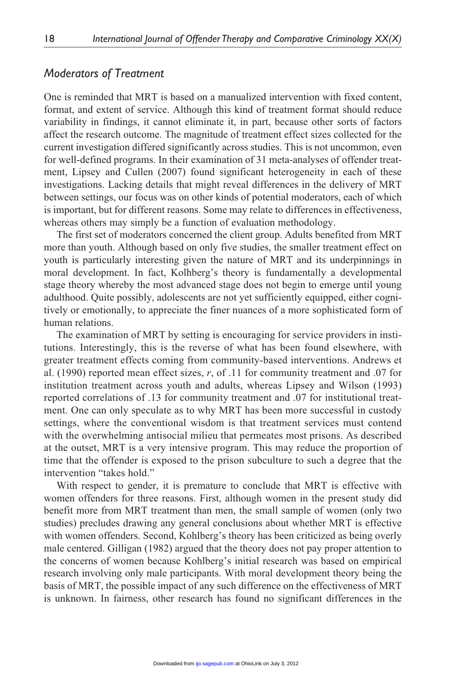# *Moderators of Treatment*

One is reminded that MRT is based on a manualized intervention with fixed content, format, and extent of service. Although this kind of treatment format should reduce variability in findings, it cannot eliminate it, in part, because other sorts of factors affect the research outcome. The magnitude of treatment effect sizes collected for the current investigation differed significantly across studies. This is not uncommon, even for well-defined programs. In their examination of 31 meta-analyses of offender treatment, Lipsey and Cullen (2007) found significant heterogeneity in each of these investigations. Lacking details that might reveal differences in the delivery of MRT between settings, our focus was on other kinds of potential moderators, each of which is important, but for different reasons. Some may relate to differences in effectiveness, whereas others may simply be a function of evaluation methodology.

The first set of moderators concerned the client group. Adults benefited from MRT more than youth. Although based on only five studies, the smaller treatment effect on youth is particularly interesting given the nature of MRT and its underpinnings in moral development. In fact, Kolhberg's theory is fundamentally a developmental stage theory whereby the most advanced stage does not begin to emerge until young adulthood. Quite possibly, adolescents are not yet sufficiently equipped, either cognitively or emotionally, to appreciate the finer nuances of a more sophisticated form of human relations.

The examination of MRT by setting is encouraging for service providers in institutions. Interestingly, this is the reverse of what has been found elsewhere, with greater treatment effects coming from community-based interventions. Andrews et al. (1990) reported mean effect sizes, *r*, of .11 for community treatment and .07 for institution treatment across youth and adults, whereas Lipsey and Wilson (1993) reported correlations of .13 for community treatment and .07 for institutional treatment. One can only speculate as to why MRT has been more successful in custody settings, where the conventional wisdom is that treatment services must contend with the overwhelming antisocial milieu that permeates most prisons. As described at the outset, MRT is a very intensive program. This may reduce the proportion of time that the offender is exposed to the prison subculture to such a degree that the intervention "takes hold."

With respect to gender, it is premature to conclude that MRT is effective with women offenders for three reasons. First, although women in the present study did benefit more from MRT treatment than men, the small sample of women (only two studies) precludes drawing any general conclusions about whether MRT is effective with women offenders. Second, Kohlberg's theory has been criticized as being overly male centered. Gilligan (1982) argued that the theory does not pay proper attention to the concerns of women because Kohlberg's initial research was based on empirical research involving only male participants. With moral development theory being the basis of MRT, the possible impact of any such difference on the effectiveness of MRT is unknown. In fairness, other research has found no significant differences in the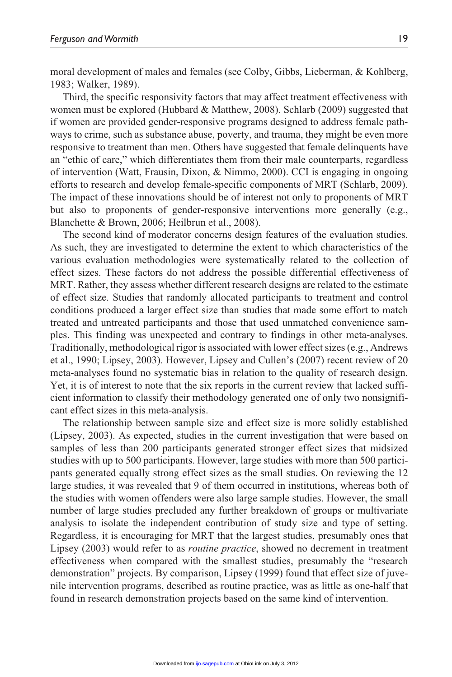moral development of males and females (see Colby, Gibbs, Lieberman, & Kohlberg, 1983; Walker, 1989).

Third, the specific responsivity factors that may affect treatment effectiveness with women must be explored (Hubbard & Matthew, 2008). Schlarb (2009) suggested that if women are provided gender-responsive programs designed to address female pathways to crime, such as substance abuse, poverty, and trauma, they might be even more responsive to treatment than men. Others have suggested that female delinquents have an "ethic of care," which differentiates them from their male counterparts, regardless of intervention (Watt, Frausin, Dixon, & Nimmo, 2000). CCI is engaging in ongoing efforts to research and develop female-specific components of MRT (Schlarb, 2009). The impact of these innovations should be of interest not only to proponents of MRT but also to proponents of gender-responsive interventions more generally (e.g., Blanchette & Brown, 2006; Heilbrun et al., 2008).

The second kind of moderator concerns design features of the evaluation studies. As such, they are investigated to determine the extent to which characteristics of the various evaluation methodologies were systematically related to the collection of effect sizes. These factors do not address the possible differential effectiveness of MRT. Rather, they assess whether different research designs are related to the estimate of effect size. Studies that randomly allocated participants to treatment and control conditions produced a larger effect size than studies that made some effort to match treated and untreated participants and those that used unmatched convenience samples. This finding was unexpected and contrary to findings in other meta-analyses. Traditionally, methodological rigor is associated with lower effect sizes (e.g., Andrews et al., 1990; Lipsey, 2003). However, Lipsey and Cullen's (2007) recent review of 20 meta-analyses found no systematic bias in relation to the quality of research design. Yet, it is of interest to note that the six reports in the current review that lacked sufficient information to classify their methodology generated one of only two nonsignificant effect sizes in this meta-analysis.

The relationship between sample size and effect size is more solidly established (Lipsey, 2003). As expected, studies in the current investigation that were based on samples of less than 200 participants generated stronger effect sizes that midsized studies with up to 500 participants. However, large studies with more than 500 participants generated equally strong effect sizes as the small studies. On reviewing the 12 large studies, it was revealed that 9 of them occurred in institutions, whereas both of the studies with women offenders were also large sample studies. However, the small number of large studies precluded any further breakdown of groups or multivariate analysis to isolate the independent contribution of study size and type of setting. Regardless, it is encouraging for MRT that the largest studies, presumably ones that Lipsey (2003) would refer to as *routine practice*, showed no decrement in treatment effectiveness when compared with the smallest studies, presumably the "research demonstration" projects. By comparison, Lipsey (1999) found that effect size of juvenile intervention programs, described as routine practice, was as little as one-half that found in research demonstration projects based on the same kind of intervention.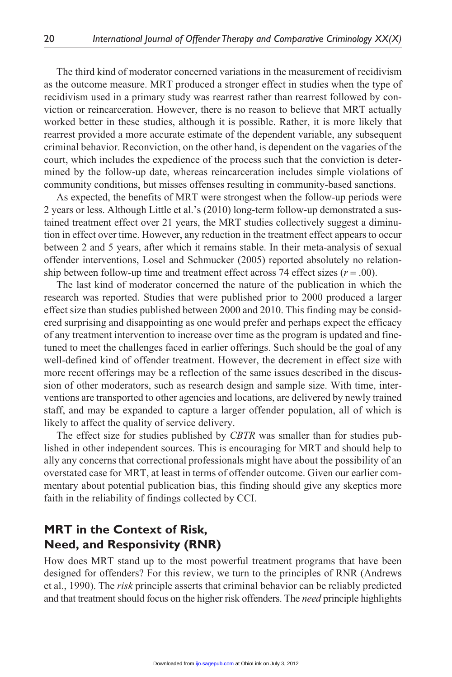The third kind of moderator concerned variations in the measurement of recidivism as the outcome measure. MRT produced a stronger effect in studies when the type of recidivism used in a primary study was rearrest rather than rearrest followed by conviction or reincarceration. However, there is no reason to believe that MRT actually worked better in these studies, although it is possible. Rather, it is more likely that rearrest provided a more accurate estimate of the dependent variable, any subsequent criminal behavior. Reconviction, on the other hand, is dependent on the vagaries of the court, which includes the expedience of the process such that the conviction is determined by the follow-up date, whereas reincarceration includes simple violations of community conditions, but misses offenses resulting in community-based sanctions.

As expected, the benefits of MRT were strongest when the follow-up periods were 2 years or less. Although Little et al.'s (2010) long-term follow-up demonstrated a sustained treatment effect over 21 years, the MRT studies collectively suggest a diminution in effect over time. However, any reduction in the treatment effect appears to occur between 2 and 5 years, after which it remains stable. In their meta-analysis of sexual offender interventions, Losel and Schmucker (2005) reported absolutely no relationship between follow-up time and treatment effect across 74 effect sizes  $(r = .00)$ .

The last kind of moderator concerned the nature of the publication in which the research was reported. Studies that were published prior to 2000 produced a larger effect size than studies published between 2000 and 2010. This finding may be considered surprising and disappointing as one would prefer and perhaps expect the efficacy of any treatment intervention to increase over time as the program is updated and finetuned to meet the challenges faced in earlier offerings. Such should be the goal of any well-defined kind of offender treatment. However, the decrement in effect size with more recent offerings may be a reflection of the same issues described in the discussion of other moderators, such as research design and sample size. With time, interventions are transported to other agencies and locations, are delivered by newly trained staff, and may be expanded to capture a larger offender population, all of which is likely to affect the quality of service delivery.

The effect size for studies published by *CBTR* was smaller than for studies published in other independent sources. This is encouraging for MRT and should help to ally any concerns that correctional professionals might have about the possibility of an overstated case for MRT, at least in terms of offender outcome. Given our earlier commentary about potential publication bias, this finding should give any skeptics more faith in the reliability of findings collected by CCI.

# **MRT in the Context of Risk, Need, and Responsivity (RNR)**

How does MRT stand up to the most powerful treatment programs that have been designed for offenders? For this review, we turn to the principles of RNR (Andrews et al., 1990). The *risk* principle asserts that criminal behavior can be reliably predicted and that treatment should focus on the higher risk offenders. The *need* principle highlights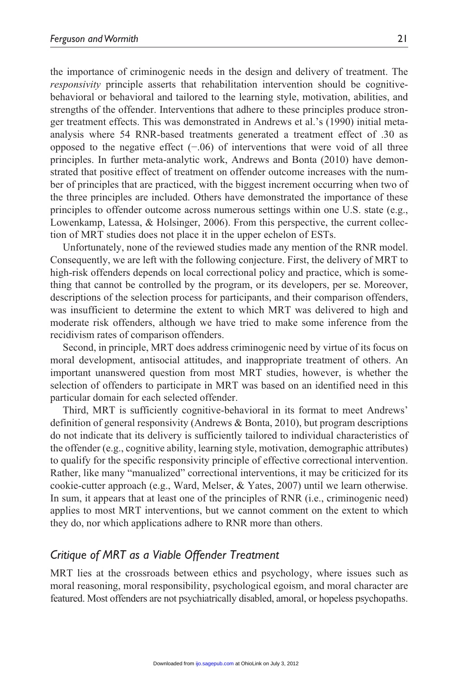the importance of criminogenic needs in the design and delivery of treatment. The *responsivity* principle asserts that rehabilitation intervention should be cognitivebehavioral or behavioral and tailored to the learning style, motivation, abilities, and strengths of the offender. Interventions that adhere to these principles produce stronger treatment effects. This was demonstrated in Andrews et al.'s (1990) initial metaanalysis where 54 RNR-based treatments generated a treatment effect of .30 as opposed to the negative effect (−.06) of interventions that were void of all three principles. In further meta-analytic work, Andrews and Bonta (2010) have demonstrated that positive effect of treatment on offender outcome increases with the number of principles that are practiced, with the biggest increment occurring when two of the three principles are included. Others have demonstrated the importance of these principles to offender outcome across numerous settings within one U.S. state (e.g., Lowenkamp, Latessa, & Holsinger, 2006). From this perspective, the current collection of MRT studies does not place it in the upper echelon of ESTs.

Unfortunately, none of the reviewed studies made any mention of the RNR model. Consequently, we are left with the following conjecture. First, the delivery of MRT to high-risk offenders depends on local correctional policy and practice, which is something that cannot be controlled by the program, or its developers, per se. Moreover, descriptions of the selection process for participants, and their comparison offenders, was insufficient to determine the extent to which MRT was delivered to high and moderate risk offenders, although we have tried to make some inference from the recidivism rates of comparison offenders.

Second, in principle, MRT does address criminogenic need by virtue of its focus on moral development, antisocial attitudes, and inappropriate treatment of others. An important unanswered question from most MRT studies, however, is whether the selection of offenders to participate in MRT was based on an identified need in this particular domain for each selected offender.

Third, MRT is sufficiently cognitive-behavioral in its format to meet Andrews' definition of general responsivity (Andrews & Bonta, 2010), but program descriptions do not indicate that its delivery is sufficiently tailored to individual characteristics of the offender (e.g., cognitive ability, learning style, motivation, demographic attributes) to qualify for the specific responsivity principle of effective correctional intervention. Rather, like many "manualized" correctional interventions, it may be criticized for its cookie-cutter approach (e.g., Ward, Melser, & Yates, 2007) until we learn otherwise. In sum, it appears that at least one of the principles of RNR (i.e., criminogenic need) applies to most MRT interventions, but we cannot comment on the extent to which they do, nor which applications adhere to RNR more than others.

#### *Critique of MRT as a Viable Offender Treatment*

MRT lies at the crossroads between ethics and psychology, where issues such as moral reasoning, moral responsibility, psychological egoism, and moral character are featured. Most offenders are not psychiatrically disabled, amoral, or hopeless psychopaths.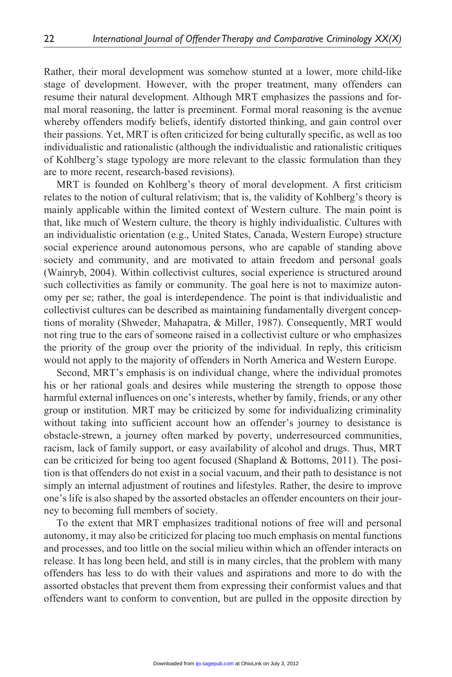Rather, their moral development was somehow stunted at a lower, more child-like stage of development. However, with the proper treatment, many offenders can resume their natural development. Although MRT emphasizes the passions and formal moral reasoning, the latter is preeminent. Formal moral reasoning is the avenue whereby offenders modify beliefs, identify distorted thinking, and gain control over their passions. Yet, MRT is often criticized for being culturally specific, as well as too individualistic and rationalistic (although the individualistic and rationalistic critiques of Kohlberg's stage typology are more relevant to the classic formulation than they are to more recent, research-based revisions).

MRT is founded on Kohlberg's theory of moral development. A first criticism relates to the notion of cultural relativism; that is, the validity of Kohlberg's theory is mainly applicable within the limited context of Western culture. The main point is that, like much of Western culture, the theory is highly individualistic. Cultures with an individualistic orientation (e.g., United States, Canada, Western Europe) structure social experience around autonomous persons, who are capable of standing above society and community, and are motivated to attain freedom and personal goals (Wainryb, 2004). Within collectivist cultures, social experience is structured around such collectivities as family or community. The goal here is not to maximize autonomy per se; rather, the goal is interdependence. The point is that individualistic and collectivist cultures can be described as maintaining fundamentally divergent conceptions of morality (Shweder, Mahapatra, & Miller, 1987). Consequently, MRT would not ring true to the ears of someone raised in a collectivist culture or who emphasizes the priority of the group over the priority of the individual. In reply, this criticism would not apply to the majority of offenders in North America and Western Europe.

Second, MRT's emphasis is on individual change, where the individual promotes his or her rational goals and desires while mustering the strength to oppose those harmful external influences on one's interests, whether by family, friends, or any other group or institution. MRT may be criticized by some for individualizing criminality without taking into sufficient account how an offender's journey to desistance is obstacle-strewn, a journey often marked by poverty, underresourced communities, racism, lack of family support, or easy availability of alcohol and drugs. Thus, MRT can be criticized for being too agent focused (Shapland & Bottoms, 2011). The position is that offenders do not exist in a social vacuum, and their path to desistance is not simply an internal adjustment of routines and lifestyles. Rather, the desire to improve one's life is also shaped by the assorted obstacles an offender encounters on their journey to becoming full members of society.

To the extent that MRT emphasizes traditional notions of free will and personal autonomy, it may also be criticized for placing too much emphasis on mental functions and processes, and too little on the social milieu within which an offender interacts on release. It has long been held, and still is in many circles, that the problem with many offenders has less to do with their values and aspirations and more to do with the assorted obstacles that prevent them from expressing their conformist values and that offenders want to conform to convention, but are pulled in the opposite direction by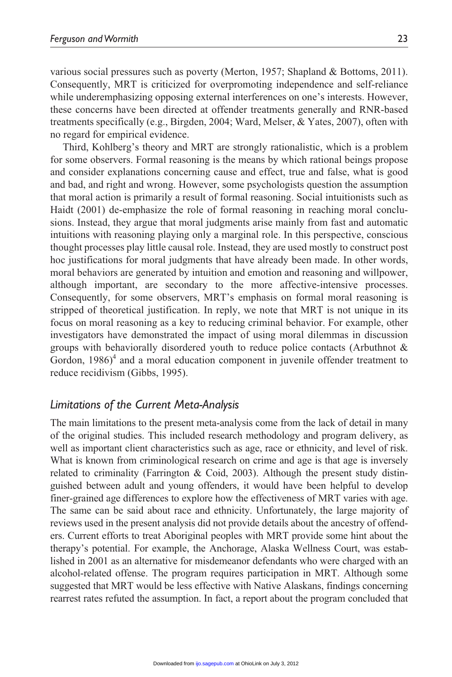various social pressures such as poverty (Merton, 1957; Shapland & Bottoms, 2011). Consequently, MRT is criticized for overpromoting independence and self-reliance while underemphasizing opposing external interferences on one's interests. However, these concerns have been directed at offender treatments generally and RNR-based treatments specifically (e.g., Birgden, 2004; Ward, Melser, & Yates, 2007), often with no regard for empirical evidence.

Third, Kohlberg's theory and MRT are strongly rationalistic, which is a problem for some observers. Formal reasoning is the means by which rational beings propose and consider explanations concerning cause and effect, true and false, what is good and bad, and right and wrong. However, some psychologists question the assumption that moral action is primarily a result of formal reasoning. Social intuitionists such as Haidt (2001) de-emphasize the role of formal reasoning in reaching moral conclusions. Instead, they argue that moral judgments arise mainly from fast and automatic intuitions with reasoning playing only a marginal role. In this perspective, conscious thought processes play little causal role. Instead, they are used mostly to construct post hoc justifications for moral judgments that have already been made. In other words, moral behaviors are generated by intuition and emotion and reasoning and willpower, although important, are secondary to the more affective-intensive processes. Consequently, for some observers, MRT's emphasis on formal moral reasoning is stripped of theoretical justification. In reply, we note that MRT is not unique in its focus on moral reasoning as a key to reducing criminal behavior. For example, other investigators have demonstrated the impact of using moral dilemmas in discussion groups with behaviorally disordered youth to reduce police contacts (Arbuthnot & Gordon,  $1986$ <sup>4</sup> and a moral education component in juvenile offender treatment to reduce recidivism (Gibbs, 1995).

# *Limitations of the Current Meta-Analysis*

The main limitations to the present meta-analysis come from the lack of detail in many of the original studies. This included research methodology and program delivery, as well as important client characteristics such as age, race or ethnicity, and level of risk. What is known from criminological research on crime and age is that age is inversely related to criminality (Farrington & Coid, 2003). Although the present study distinguished between adult and young offenders, it would have been helpful to develop finer-grained age differences to explore how the effectiveness of MRT varies with age. The same can be said about race and ethnicity. Unfortunately, the large majority of reviews used in the present analysis did not provide details about the ancestry of offenders. Current efforts to treat Aboriginal peoples with MRT provide some hint about the therapy's potential. For example, the Anchorage, Alaska Wellness Court, was established in 2001 as an alternative for misdemeanor defendants who were charged with an alcohol-related offense. The program requires participation in MRT. Although some suggested that MRT would be less effective with Native Alaskans, findings concerning rearrest rates refuted the assumption. In fact, a report about the program concluded that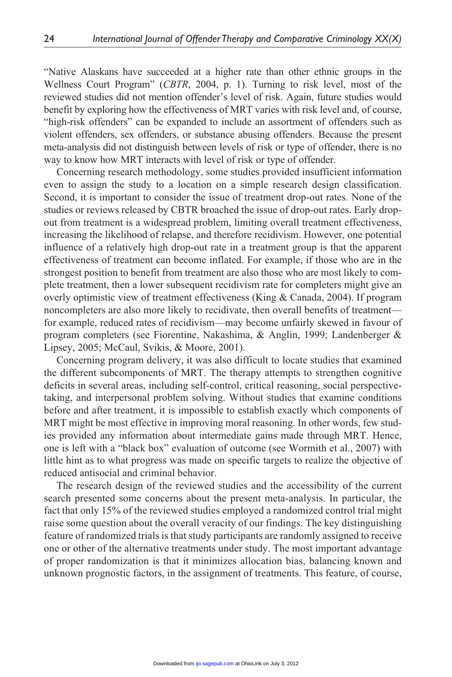"Native Alaskans have succeeded at a higher rate than other ethnic groups in the Wellness Court Program" (*CBTR*, 2004, p. 1). Turning to risk level, most of the reviewed studies did not mention offender's level of risk. Again, future studies would benefit by exploring how the effectiveness of MRT varies with risk level and, of course, "high-risk offenders" can be expanded to include an assortment of offenders such as violent offenders, sex offenders, or substance abusing offenders. Because the present meta-analysis did not distinguish between levels of risk or type of offender, there is no way to know how MRT interacts with level of risk or type of offender.

Concerning research methodology, some studies provided insufficient information even to assign the study to a location on a simple research design classification. Second, it is important to consider the issue of treatment drop-out rates. None of the studies or reviews released by CBTR broached the issue of drop-out rates. Early dropout from treatment is a widespread problem, limiting overall treatment effectiveness, increasing the likelihood of relapse, and therefore recidivism. However, one potential influence of a relatively high drop-out rate in a treatment group is that the apparent effectiveness of treatment can become inflated. For example, if those who are in the strongest position to benefit from treatment are also those who are most likely to complete treatment, then a lower subsequent recidivism rate for completers might give an overly optimistic view of treatment effectiveness (King & Canada, 2004). If program noncompleters are also more likely to recidivate, then overall benefits of treatment for example, reduced rates of recidivism—may become unfairly skewed in favour of program completers (see Fiorentine, Nakashima, & Anglin, 1999; Landenberger & Lipsey, 2005; McCaul, Svikis, & Moore, 2001).

Concerning program delivery, it was also difficult to locate studies that examined the different subcomponents of MRT. The therapy attempts to strengthen cognitive deficits in several areas, including self-control, critical reasoning, social perspectivetaking, and interpersonal problem solving. Without studies that examine conditions before and after treatment, it is impossible to establish exactly which components of MRT might be most effective in improving moral reasoning. In other words, few studies provided any information about intermediate gains made through MRT. Hence, one is left with a "black box" evaluation of outcome (see Wormith et al., 2007) with little hint as to what progress was made on specific targets to realize the objective of reduced antisocial and criminal behavior.

The research design of the reviewed studies and the accessibility of the current search presented some concerns about the present meta-analysis. In particular, the fact that only 15% of the reviewed studies employed a randomized control trial might raise some question about the overall veracity of our findings. The key distinguishing feature of randomized trials is that study participants are randomly assigned to receive one or other of the alternative treatments under study. The most important advantage of proper randomization is that it minimizes allocation bias, balancing known and unknown prognostic factors, in the assignment of treatments. This feature, of course,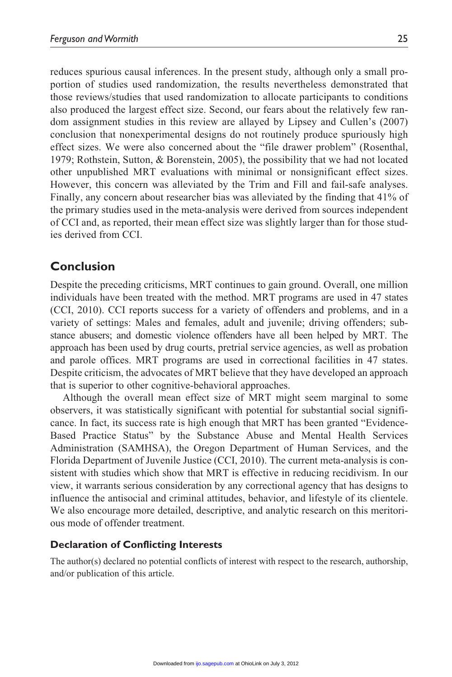reduces spurious causal inferences. In the present study, although only a small proportion of studies used randomization, the results nevertheless demonstrated that those reviews/studies that used randomization to allocate participants to conditions also produced the largest effect size. Second, our fears about the relatively few random assignment studies in this review are allayed by Lipsey and Cullen's (2007) conclusion that nonexperimental designs do not routinely produce spuriously high effect sizes. We were also concerned about the "file drawer problem" (Rosenthal, 1979; Rothstein, Sutton, & Borenstein, 2005), the possibility that we had not located other unpublished MRT evaluations with minimal or nonsignificant effect sizes. However, this concern was alleviated by the Trim and Fill and fail-safe analyses. Finally, any concern about researcher bias was alleviated by the finding that 41% of the primary studies used in the meta-analysis were derived from sources independent of CCI and, as reported, their mean effect size was slightly larger than for those studies derived from CCI.

# **Conclusion**

Despite the preceding criticisms, MRT continues to gain ground. Overall, one million individuals have been treated with the method. MRT programs are used in 47 states (CCI, 2010). CCI reports success for a variety of offenders and problems, and in a variety of settings: Males and females, adult and juvenile; driving offenders; substance abusers; and domestic violence offenders have all been helped by MRT. The approach has been used by drug courts, pretrial service agencies, as well as probation and parole offices. MRT programs are used in correctional facilities in 47 states. Despite criticism, the advocates of MRT believe that they have developed an approach that is superior to other cognitive-behavioral approaches.

Although the overall mean effect size of MRT might seem marginal to some observers, it was statistically significant with potential for substantial social significance. In fact, its success rate is high enough that MRT has been granted "Evidence-Based Practice Status" by the Substance Abuse and Mental Health Services Administration (SAMHSA), the Oregon Department of Human Services, and the Florida Department of Juvenile Justice (CCI, 2010). The current meta-analysis is consistent with studies which show that MRT is effective in reducing recidivism. In our view, it warrants serious consideration by any correctional agency that has designs to influence the antisocial and criminal attitudes, behavior, and lifestyle of its clientele. We also encourage more detailed, descriptive, and analytic research on this meritorious mode of offender treatment.

#### **Declaration of Conflicting Interests**

The author(s) declared no potential conflicts of interest with respect to the research, authorship, and/or publication of this article.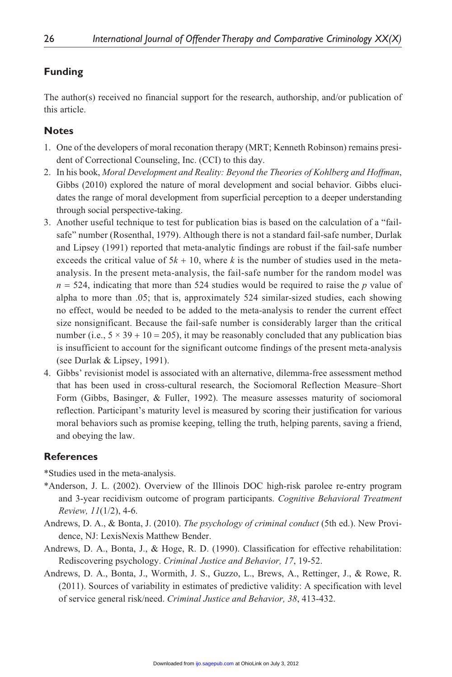#### **Funding**

The author(s) received no financial support for the research, authorship, and/or publication of this article.

#### **Notes**

- 1. One of the developers of moral reconation therapy (MRT; Kenneth Robinson) remains president of Correctional Counseling, Inc. (CCI) to this day.
- 2. In his book, *Moral Development and Reality: Beyond the Theories of Kohlberg and Hoffman*, Gibbs (2010) explored the nature of moral development and social behavior. Gibbs elucidates the range of moral development from superficial perception to a deeper understanding through social perspective-taking.
- 3. Another useful technique to test for publication bias is based on the calculation of a "failsafe" number (Rosenthal, 1979). Although there is not a standard fail-safe number, Durlak and Lipsey (1991) reported that meta-analytic findings are robust if the fail-safe number exceeds the critical value of  $5k + 10$ , where *k* is the number of studies used in the metaanalysis. In the present meta-analysis, the fail-safe number for the random model was  $n = 524$ , indicating that more than 524 studies would be required to raise the *p* value of alpha to more than .05; that is, approximately 524 similar-sized studies, each showing no effect, would be needed to be added to the meta-analysis to render the current effect size nonsignificant. Because the fail-safe number is considerably larger than the critical number (i.e.,  $5 \times 39 + 10 = 205$ ), it may be reasonably concluded that any publication bias is insufficient to account for the significant outcome findings of the present meta-analysis (see Durlak & Lipsey, 1991).
- 4. Gibbs' revisionist model is associated with an alternative, dilemma-free assessment method that has been used in cross-cultural research, the Sociomoral Reflection Measure–Short Form (Gibbs, Basinger, & Fuller, 1992). The measure assesses maturity of sociomoral reflection. Participant's maturity level is measured by scoring their justification for various moral behaviors such as promise keeping, telling the truth, helping parents, saving a friend, and obeying the law.

# **References**

\*Studies used in the meta-analysis.

- \*Anderson, J. L. (2002). Overview of the Illinois DOC high-risk parolee re-entry program and 3-year recidivism outcome of program participants. *Cognitive Behavioral Treatment Review, 11*(1/2), 4-6.
- Andrews, D. A., & Bonta, J. (2010). *The psychology of criminal conduct* (5th ed.). New Providence, NJ: LexisNexis Matthew Bender.
- Andrews, D. A., Bonta, J., & Hoge, R. D. (1990). Classification for effective rehabilitation: Rediscovering psychology. *Criminal Justice and Behavior, 17*, 19-52.
- Andrews, D. A., Bonta, J., Wormith, J. S., Guzzo, L., Brews, A., Rettinger, J., & Rowe, R. (2011). Sources of variability in estimates of predictive validity: A specification with level of service general risk/need. *Criminal Justice and Behavior, 38*, 413-432.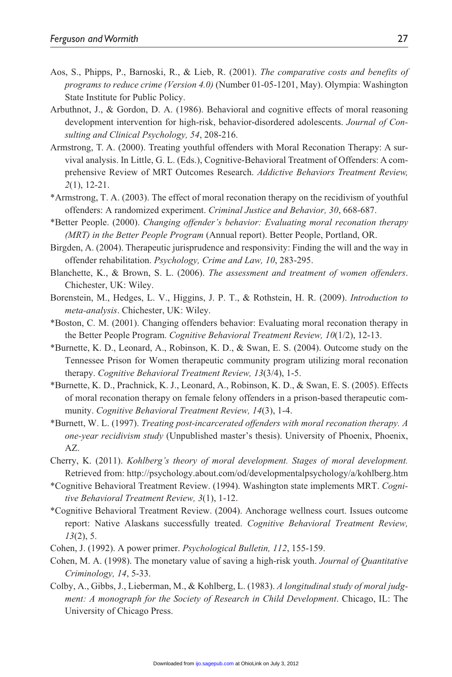- Aos, S., Phipps, P., Barnoski, R., & Lieb, R. (2001). *The comparative costs and benefits of programs to reduce crime (Version 4.0)* (Number 01-05-1201, May). Olympia: Washington State Institute for Public Policy.
- Arbuthnot, J., & Gordon, D. A. (1986). Behavioral and cognitive effects of moral reasoning development intervention for high-risk, behavior-disordered adolescents. *Journal of Consulting and Clinical Psychology, 54*, 208-216.
- Armstrong, T. A. (2000). Treating youthful offenders with Moral Reconation Therapy: A survival analysis. In Little, G. L. (Eds.), Cognitive-Behavioral Treatment of Offenders: A comprehensive Review of MRT Outcomes Research. *Addictive Behaviors Treatment Review, 2*(1), 12-21.
- \*Armstrong, T. A. (2003). The effect of moral reconation therapy on the recidivism of youthful offenders: A randomized experiment. *Criminal Justice and Behavior, 30*, 668-687.
- \*Better People. (2000). *Changing offender's behavior: Evaluating moral reconation therapy (MRT) in the Better People Program* (Annual report). Better People, Portland, OR.
- Birgden, A. (2004). Therapeutic jurisprudence and responsivity: Finding the will and the way in offender rehabilitation. *Psychology, Crime and Law, 10*, 283-295.
- Blanchette, K., & Brown, S. L. (2006). *The assessment and treatment of women offenders*. Chichester, UK: Wiley.
- Borenstein, M., Hedges, L. V., Higgins, J. P. T., & Rothstein, H. R. (2009). *Introduction to meta-analysis*. Chichester, UK: Wiley.
- \*Boston, C. M. (2001). Changing offenders behavior: Evaluating moral reconation therapy in the Better People Program. *Cognitive Behavioral Treatment Review, 10*(1/2), 12-13.
- \*Burnette, K. D., Leonard, A., Robinson, K. D., & Swan, E. S. (2004). Outcome study on the Tennessee Prison for Women therapeutic community program utilizing moral reconation therapy. *Cognitive Behavioral Treatment Review, 13*(3/4), 1-5.
- \*Burnette, K. D., Prachnick, K. J., Leonard, A., Robinson, K. D., & Swan, E. S. (2005). Effects of moral reconation therapy on female felony offenders in a prison-based therapeutic community. *Cognitive Behavioral Treatment Review, 14*(3), 1-4.
- \*Burnett, W. L. (1997). *Treating post-incarcerated offenders with moral reconation therapy. A one-year recidivism study* (Unpublished master's thesis). University of Phoenix, Phoenix, AZ.
- Cherry, K. (2011). *Kohlberg's theory of moral development. Stages of moral development.* Retrieved from: http://psychology.about.com/od/developmentalpsychology/a/kohlberg.htm
- \*Cognitive Behavioral Treatment Review. (1994). Washington state implements MRT. *Cognitive Behavioral Treatment Review, 3*(1), 1-12.
- \*Cognitive Behavioral Treatment Review. (2004). Anchorage wellness court. Issues outcome report: Native Alaskans successfully treated. *Cognitive Behavioral Treatment Review, 13*(2), 5.
- Cohen, J. (1992). A power primer. *Psychological Bulletin, 112*, 155-159.
- Cohen, M. A. (1998). The monetary value of saving a high-risk youth. *Journal of Quantitative Criminology, 14*, 5-33.
- Colby, A., Gibbs, J., Lieberman, M., & Kohlberg, L. (1983). *A longitudinal study of moral judgment: A monograph for the Society of Research in Child Development*. Chicago, IL: The University of Chicago Press.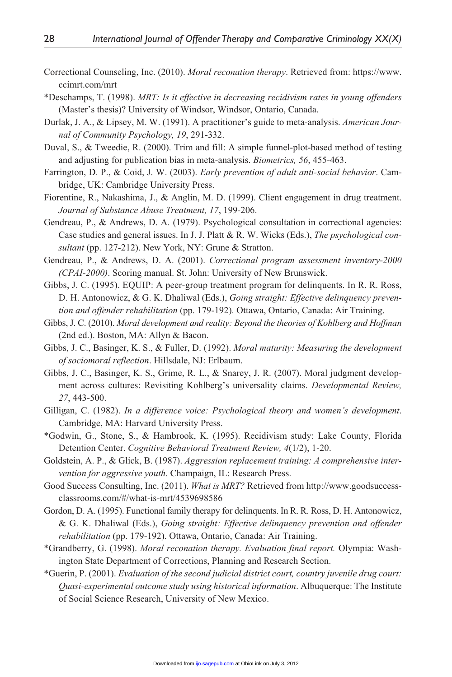- Correctional Counseling, Inc. (2010). *Moral reconation therapy*. Retrieved from: https://www. ccimrt.com/mrt
- \*Deschamps, T. (1998). *MRT: Is it effective in decreasing recidivism rates in young offenders* (Master's thesis)? University of Windsor, Windsor, Ontario, Canada.
- Durlak, J. A., & Lipsey, M. W. (1991). A practitioner's guide to meta-analysis. *American Journal of Community Psychology, 19*, 291-332.
- Duval, S., & Tweedie, R. (2000). Trim and fill: A simple funnel-plot-based method of testing and adjusting for publication bias in meta-analysis. *Biometrics, 56*, 455-463.
- Farrington, D. P., & Coid, J. W. (2003). *Early prevention of adult anti-social behavior*. Cambridge, UK: Cambridge University Press.
- Fiorentine, R., Nakashima, J., & Anglin, M. D. (1999). Client engagement in drug treatment. *Journal of Substance Abuse Treatment, 17*, 199-206.
- Gendreau, P., & Andrews, D. A. (1979). Psychological consultation in correctional agencies: Case studies and general issues. In J. J. Platt & R. W. Wicks (Eds.), *The psychological consultant* (pp. 127-212). New York, NY: Grune & Stratton.
- Gendreau, P., & Andrews, D. A. (2001). *Correctional program assessment inventory*-*2000 (CPAI-2000)*. Scoring manual. St. John: University of New Brunswick.
- Gibbs, J. C. (1995). EQUIP: A peer-group treatment program for delinquents. In R. R. Ross, D. H. Antonowicz, & G. K. Dhaliwal (Eds.), *Going straight: Effective delinquency prevention and offender rehabilitation* (pp. 179-192). Ottawa, Ontario, Canada: Air Training.
- Gibbs, J. C. (2010). *Moral development and reality: Beyond the theories of Kohlberg and Hoffman* (2nd ed.). Boston, MA: Allyn & Bacon.
- Gibbs, J. C., Basinger, K. S., & Fuller, D. (1992). *Moral maturity: Measuring the development of sociomoral reflection*. Hillsdale, NJ: Erlbaum.
- Gibbs, J. C., Basinger, K. S., Grime, R. L., & Snarey, J. R. (2007). Moral judgment development across cultures: Revisiting Kohlberg's universality claims. *Developmental Review, 27*, 443-500.
- Gilligan, C. (1982). *In a difference voice: Psychological theory and women's development*. Cambridge, MA: Harvard University Press.
- \*Godwin, G., Stone, S., & Hambrook, K. (1995). Recidivism study: Lake County, Florida Detention Center. *Cognitive Behavioral Treatment Review, 4*(1/2), 1-20.
- Goldstein, A. P., & Glick, B. (1987). *Aggression replacement training: A comprehensive intervention for aggressive youth*. Champaign, IL: Research Press.
- Good Success Consulting, Inc. (2011). *What is MRT?* Retrieved from http://www.goodsuccessclassrooms.com/#/what-is-mrt/4539698586
- Gordon, D. A. (1995). Functional family therapy for delinquents. In R. R. Ross, D. H. Antonowicz, & G. K. Dhaliwal (Eds.), *Going straight: Effective delinquency prevention and offender rehabilitation* (pp. 179-192). Ottawa, Ontario, Canada: Air Training.
- \*Grandberry, G. (1998). *Moral reconation therapy. Evaluation final report.* Olympia: Washington State Department of Corrections, Planning and Research Section.
- \*Guerin, P. (2001). *Evaluation of the second judicial district court, country juvenile drug court: Quasi-experimental outcome study using historical information*. Albuquerque: The Institute of Social Science Research, University of New Mexico.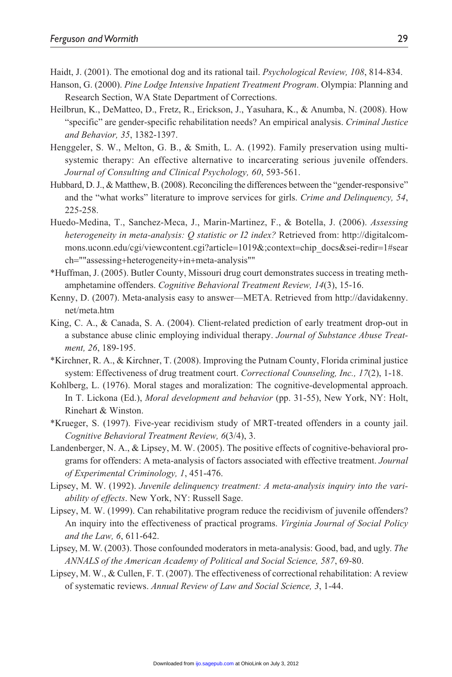Haidt, J. (2001). The emotional dog and its rational tail. *Psychological Review, 108*, 814-834.

- Hanson, G. (2000). *Pine Lodge Intensive Inpatient Treatment Program*. Olympia: Planning and Research Section, WA State Department of Corrections.
- Heilbrun, K., DeMatteo, D., Fretz, R., Erickson, J., Yasuhara, K., & Anumba, N. (2008). How "specific" are gender-specific rehabilitation needs? An empirical analysis. *Criminal Justice and Behavior, 35*, 1382-1397.
- Henggeler, S. W., Melton, G. B., & Smith, L. A. (1992). Family preservation using multisystemic therapy: An effective alternative to incarcerating serious juvenile offenders. *Journal of Consulting and Clinical Psychology, 60*, 593-561.
- Hubbard, D. J., & Matthew, B. (2008). Reconciling the differences between the "gender-responsive" and the "what works" literature to improve services for girls. *Crime and Delinquency, 54*, 225-258.
- Huedo-Medina, T., Sanchez-Meca, J., Marin-Martinez, F., & Botella, J. (2006). *Assessing heterogeneity in meta-analysis: Q statistic or I2 index?* Retrieved from: http://digitalcommons.uconn.edu/cgi/viewcontent.cgi?article=1019&;context=chip\_docs&sei-redir=1#sear ch=""assessing+heterogeneity+in+meta-analysis""
- \*Huffman, J. (2005). Butler County, Missouri drug court demonstrates success in treating methamphetamine offenders. *Cognitive Behavioral Treatment Review, 14*(3), 15-16.
- Kenny, D. (2007). Meta-analysis easy to answer—META. Retrieved from http://davidakenny. net/meta.htm
- King, C. A., & Canada, S. A. (2004). Client-related prediction of early treatment drop-out in a substance abuse clinic employing individual therapy. *Journal of Substance Abuse Treatment, 26*, 189-195.
- \*Kirchner, R. A., & Kirchner, T. (2008). Improving the Putnam County, Florida criminal justice system: Effectiveness of drug treatment court. *Correctional Counseling, Inc., 17*(2), 1-18.
- Kohlberg, L. (1976). Moral stages and moralization: The cognitive-developmental approach. In T. Lickona (Ed.), *Moral development and behavior* (pp. 31-55), New York, NY: Holt, Rinehart & Winston.
- \*Krueger, S. (1997). Five-year recidivism study of MRT-treated offenders in a county jail. *Cognitive Behavioral Treatment Review, 6*(3/4), 3.
- Landenberger, N. A., & Lipsey, M. W. (2005). The positive effects of cognitive-behavioral programs for offenders: A meta-analysis of factors associated with effective treatment. *Journal of Experimental Criminology, 1*, 451-476.
- Lipsey, M. W. (1992). *Juvenile delinquency treatment: A meta-analysis inquiry into the variability of effects*. New York, NY: Russell Sage.
- Lipsey, M. W. (1999). Can rehabilitative program reduce the recidivism of juvenile offenders? An inquiry into the effectiveness of practical programs. *Virginia Journal of Social Policy and the Law, 6*, 611-642.
- Lipsey, M. W. (2003). Those confounded moderators in meta-analysis: Good, bad, and ugly. *The ANNALS of the American Academy of Political and Social Science, 587*, 69-80.
- Lipsey, M. W., & Cullen, F. T. (2007). The effectiveness of correctional rehabilitation: A review of systematic reviews. *Annual Review of Law and Social Science, 3*, 1-44.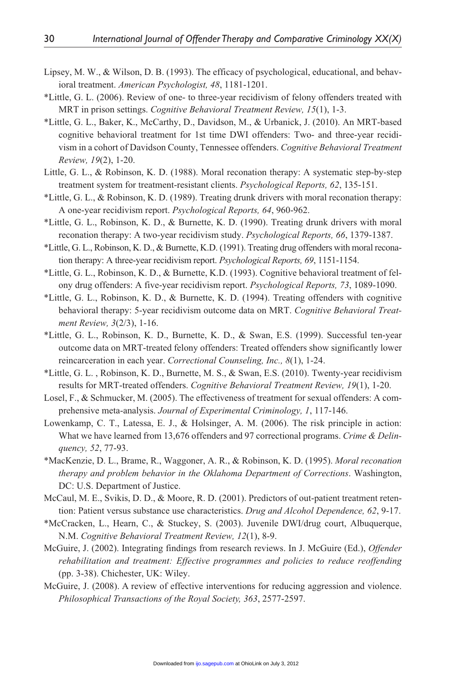- Lipsey, M. W., & Wilson, D. B. (1993). The efficacy of psychological, educational, and behavioral treatment. *American Psychologist, 48*, 1181-1201.
- \*Little, G. L. (2006). Review of one- to three-year recidivism of felony offenders treated with MRT in prison settings. *Cognitive Behavioral Treatment Review, 15*(1), 1-3.
- \*Little, G. L., Baker, K., McCarthy, D., Davidson, M., & Urbanick, J. (2010). An MRT-based cognitive behavioral treatment for 1st time DWI offenders: Two- and three-year recidivism in a cohort of Davidson County, Tennessee offenders. *Cognitive Behavioral Treatment Review, 19*(2), 1-20.
- Little, G. L., & Robinson, K. D. (1988). Moral reconation therapy: A systematic step-by-step treatment system for treatment-resistant clients. *Psychological Reports, 62*, 135-151.
- \*Little, G. L., & Robinson, K. D. (1989). Treating drunk drivers with moral reconation therapy: A one-year recidivism report. *Psychological Reports, 64*, 960-962.
- \*Little, G. L., Robinson, K. D., & Burnette, K. D. (1990). Treating drunk drivers with moral reconation therapy: A two-year recidivism study. *Psychological Reports, 66*, 1379-1387.
- \*Little, G. L., Robinson, K. D., & Burnette, K.D. (1991). Treating drug offenders with moral reconation therapy: A three-year recidivism report. *Psychological Reports, 69*, 1151-1154.
- \*Little, G. L., Robinson, K. D., & Burnette, K.D. (1993). Cognitive behavioral treatment of felony drug offenders: A five-year recidivism report. *Psychological Reports, 73*, 1089-1090.
- \*Little, G. L., Robinson, K. D., & Burnette, K. D. (1994). Treating offenders with cognitive behavioral therapy: 5-year recidivism outcome data on MRT. *Cognitive Behavioral Treatment Review, 3*(2/3), 1-16.
- \*Little, G. L., Robinson, K. D., Burnette, K. D., & Swan, E.S. (1999). Successful ten-year outcome data on MRT-treated felony offenders: Treated offenders show significantly lower reincarceration in each year. *Correctional Counseling, Inc., 8*(1), 1-24.
- \*Little, G. L. , Robinson, K. D., Burnette, M. S., & Swan, E.S. (2010). Twenty-year recidivism results for MRT-treated offenders. *Cognitive Behavioral Treatment Review, 19*(1), 1-20.
- Losel, F., & Schmucker, M. (2005). The effectiveness of treatment for sexual offenders: A comprehensive meta-analysis. *Journal of Experimental Criminology, 1*, 117-146.
- Lowenkamp, C. T., Latessa, E. J., & Holsinger, A. M. (2006). The risk principle in action: What we have learned from 13,676 offenders and 97 correctional programs. *Crime & Delinquency, 52*, 77-93.
- \*MacKenzie, D. L., Brame, R., Waggoner, A. R., & Robinson, K. D. (1995). *Moral reconation therapy and problem behavior in the Oklahoma Department of Corrections*. Washington, DC: U.S. Department of Justice.
- McCaul, M. E., Svikis, D. D., & Moore, R. D. (2001). Predictors of out-patient treatment retention: Patient versus substance use characteristics. *Drug and Alcohol Dependence, 62*, 9-17.
- \*McCracken, L., Hearn, C., & Stuckey, S. (2003). Juvenile DWI/drug court, Albuquerque, N.M. *Cognitive Behavioral Treatment Review, 12*(1), 8-9.
- McGuire, J. (2002). Integrating findings from research reviews. In J. McGuire (Ed.), *Offender rehabilitation and treatment: Effective programmes and policies to reduce reoffending* (pp. 3-38). Chichester, UK: Wiley.
- McGuire, J. (2008). A review of effective interventions for reducing aggression and violence. *Philosophical Transactions of the Royal Society, 363*, 2577-2597.